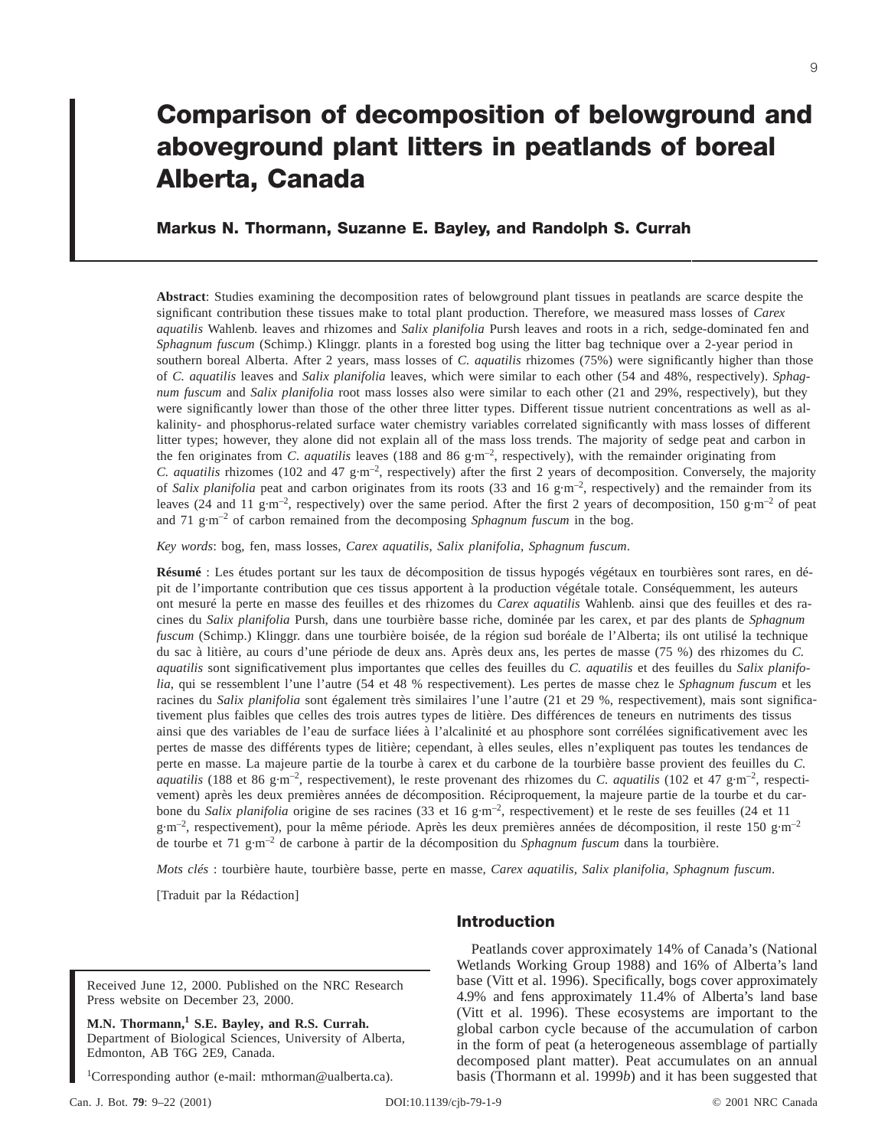# **Comparison of decomposition of belowground and aboveground plant litters in peatlands of boreal Alberta, Canada**

# **Markus N. Thormann, Suzanne E. Bayley, and Randolph S. Currah**

**Abstract**: Studies examining the decomposition rates of belowground plant tissues in peatlands are scarce despite the significant contribution these tissues make to total plant production. Therefore, we measured mass losses of *Carex aquatilis* Wahlenb. leaves and rhizomes and *Salix planifolia* Pursh leaves and roots in a rich, sedge-dominated fen and *Sphagnum fuscum* (Schimp.) Klinggr. plants in a forested bog using the litter bag technique over a 2-year period in southern boreal Alberta. After 2 years, mass losses of *C. aquatilis* rhizomes (75%) were significantly higher than those of *C. aquatilis* leaves and *Salix planifolia* leaves, which were similar to each other (54 and 48%, respectively). *Sphagnum fuscum* and *Salix planifolia* root mass losses also were similar to each other (21 and 29%, respectively), but they were significantly lower than those of the other three litter types. Different tissue nutrient concentrations as well as alkalinity- and phosphorus-related surface water chemistry variables correlated significantly with mass losses of different litter types; however, they alone did not explain all of the mass loss trends. The majority of sedge peat and carbon in the fen originates from *C. aquatilis* leaves (188 and 86 g·m<sup>-2</sup>, respectively), with the remainder originating from *C. aquatilis* rhizomes (102 and 47 g·m<sup>-2</sup>, respectively) after the first 2 years of decomposition. Conversely, the majority of *Salix planifolia* peat and carbon originates from its roots (33 and 16 g·m<sup>-2</sup>, respectively) and the remainder from its leaves (24 and 11 g·m<sup>-2</sup>, respectively) over the same period. After the first 2 years of decomposition, 150 g·m<sup>-2</sup> of peat and 71 g·m–2 of carbon remained from the decomposing *Sphagnum fuscum* in the bog.

*Key words*: bog, fen, mass losses, *Carex aquatilis*, *Salix planifolia*, *Sphagnum fuscum*.

**Résumé** : Les études portant sur les taux de décomposition de tissus hypogés végétaux en tourbières sont rares, en dépit de l'importante contribution que ces tissus apportent à la production végétale totale. Conséquemment, les auteurs ont mesuré la perte en masse des feuilles et des rhizomes du *Carex aquatilis* Wahlenb. ainsi que des feuilles et des racines du *Salix planifolia* Pursh, dans une tourbière basse riche, dominée par les carex, et par des plants de *Sphagnum fuscum* (Schimp.) Klinggr. dans une tourbière boisée, de la région sud boréale de l'Alberta; ils ont utilisé la technique du sac à litière, au cours d'une période de deux ans. Après deux ans, les pertes de masse (75 %) des rhizomes du *C. aquatilis* sont significativement plus importantes que celles des feuilles du *C. aquatilis* et des feuilles du *Salix planifolia*, qui se ressemblent l'une l'autre (54 et 48 % respectivement). Les pertes de masse chez le *Sphagnum fuscum* et les racines du *Salix planifolia* sont également très similaires l'une l'autre (21 et 29 %, respectivement), mais sont significativement plus faibles que celles des trois autres types de litière. Des différences de teneurs en nutriments des tissus ainsi que des variables de l'eau de surface liées à l'alcalinité et au phosphore sont corrélées significativement avec les pertes de masse des différents types de litière; cependant, à elles seules, elles n'expliquent pas toutes les tendances de perte en masse. La majeure partie de la tourbe à carex et du carbone de la tourbière basse provient des feuilles du *C. aquatilis* (188 et 86 g·m<sup>-2</sup>, respectivement), le reste provenant des rhizomes du *C. aquatilis* (102 et 47 g·m<sup>-2</sup>, respectivement) après les deux premières années de décomposition. Réciproquement, la majeure partie de la tourbe et du carbone du *Salix planifolia* origine de ses racines (33 et 16 g·m–2, respectivement) et le reste de ses feuilles (24 et 11 g·m<sup>-2</sup>, respectivement), pour la même période. Après les deux premières années de décomposition, il reste 150 g·m<sup>-2</sup> de tourbe et 71 g·m–2 de carbone à partir de la décomposition du *Sphagnum fuscum* dans la tourbière.

*Mots clés* : tourbière haute, tourbière basse, perte en masse, *Carex aquatilis, Salix planifolia, Sphagnum fuscum*.

[Traduit par la Rédaction]

Received June 12, 2000. Published on the NRC Research Press website on December 23, 2000.

**M.N. Thormann,<sup>1</sup> S.E. Bayley, and R.S. Currah.** Department of Biological Sciences, University of Alberta, Edmonton, AB T6G 2E9, Canada.

<sup>1</sup>Corresponding author (e-mail: mthorman@ualberta.ca).

# **Introduction**

Peatlands cover approximately 14% of Canada's (National Wetlands Working Group 1988) and 16% of Alberta's land base (Vitt et al. 1996). Specifically, bogs cover approximately 4.9% and fens approximately 11.4% of Alberta's land base (Vitt et al. 1996). These ecosystems are important to the global carbon cycle because of the accumulation of carbon in the form of peat (a heterogeneous assemblage of partially decomposed plant matter). Peat accumulates on an annual basis (Thormann et al. 1999*b*) and it has been suggested that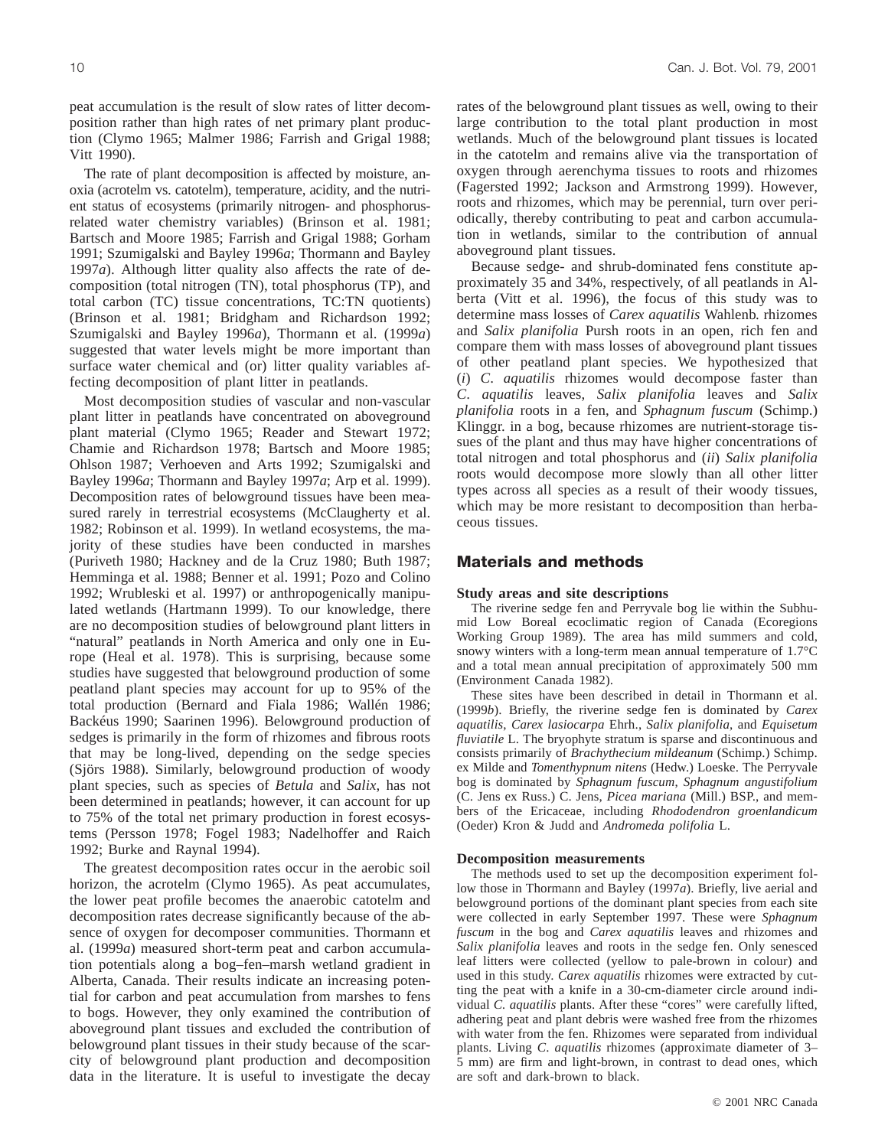peat accumulation is the result of slow rates of litter decomposition rather than high rates of net primary plant production (Clymo 1965; Malmer 1986; Farrish and Grigal 1988; Vitt 1990).

The rate of plant decomposition is affected by moisture, anoxia (acrotelm vs. catotelm), temperature, acidity, and the nutrient status of ecosystems (primarily nitrogen- and phosphorusrelated water chemistry variables) (Brinson et al. 1981; Bartsch and Moore 1985; Farrish and Grigal 1988; Gorham 1991; Szumigalski and Bayley 1996*a*; Thormann and Bayley 1997*a*). Although litter quality also affects the rate of decomposition (total nitrogen (TN), total phosphorus (TP), and total carbon (TC) tissue concentrations, TC:TN quotients) (Brinson et al. 1981; Bridgham and Richardson 1992; Szumigalski and Bayley 1996*a*), Thormann et al. (1999*a*) suggested that water levels might be more important than surface water chemical and (or) litter quality variables affecting decomposition of plant litter in peatlands.

Most decomposition studies of vascular and non-vascular plant litter in peatlands have concentrated on aboveground plant material (Clymo 1965; Reader and Stewart 1972; Chamie and Richardson 1978; Bartsch and Moore 1985; Ohlson 1987; Verhoeven and Arts 1992; Szumigalski and Bayley 1996*a*; Thormann and Bayley 1997*a*; Arp et al. 1999). Decomposition rates of belowground tissues have been measured rarely in terrestrial ecosystems (McClaugherty et al. 1982; Robinson et al. 1999). In wetland ecosystems, the majority of these studies have been conducted in marshes (Puriveth 1980; Hackney and de la Cruz 1980; Buth 1987; Hemminga et al. 1988; Benner et al. 1991; Pozo and Colino 1992; Wrubleski et al. 1997) or anthropogenically manipulated wetlands (Hartmann 1999). To our knowledge, there are no decomposition studies of belowground plant litters in "natural" peatlands in North America and only one in Europe (Heal et al. 1978). This is surprising, because some studies have suggested that belowground production of some peatland plant species may account for up to 95% of the total production (Bernard and Fiala 1986; Wallén 1986; Backéus 1990; Saarinen 1996). Belowground production of sedges is primarily in the form of rhizomes and fibrous roots that may be long-lived, depending on the sedge species (Sjörs 1988). Similarly, belowground production of woody plant species, such as species of *Betula* and *Salix*, has not been determined in peatlands; however, it can account for up to 75% of the total net primary production in forest ecosystems (Persson 1978; Fogel 1983; Nadelhoffer and Raich 1992; Burke and Raynal 1994).

The greatest decomposition rates occur in the aerobic soil horizon, the acrotelm (Clymo 1965). As peat accumulates, the lower peat profile becomes the anaerobic catotelm and decomposition rates decrease significantly because of the absence of oxygen for decomposer communities. Thormann et al. (1999*a*) measured short-term peat and carbon accumulation potentials along a bog–fen–marsh wetland gradient in Alberta, Canada. Their results indicate an increasing potential for carbon and peat accumulation from marshes to fens to bogs. However, they only examined the contribution of aboveground plant tissues and excluded the contribution of belowground plant tissues in their study because of the scarcity of belowground plant production and decomposition data in the literature. It is useful to investigate the decay rates of the belowground plant tissues as well, owing to their large contribution to the total plant production in most wetlands. Much of the belowground plant tissues is located in the catotelm and remains alive via the transportation of oxygen through aerenchyma tissues to roots and rhizomes (Fagersted 1992; Jackson and Armstrong 1999). However, roots and rhizomes, which may be perennial, turn over periodically, thereby contributing to peat and carbon accumulation in wetlands, similar to the contribution of annual aboveground plant tissues.

Because sedge- and shrub-dominated fens constitute approximately 35 and 34%, respectively, of all peatlands in Alberta (Vitt et al. 1996), the focus of this study was to determine mass losses of *Carex aquatilis* Wahlenb. rhizomes and *Salix planifolia* Pursh roots in an open, rich fen and compare them with mass losses of aboveground plant tissues of other peatland plant species. We hypothesized that (*i*) *C*. *aquatilis* rhizomes would decompose faster than *C*. *aquatilis* leaves, *Salix planifolia* leaves and *Salix planifolia* roots in a fen, and *Sphagnum fuscum* (Schimp.) Klinggr. in a bog, because rhizomes are nutrient-storage tissues of the plant and thus may have higher concentrations of total nitrogen and total phosphorus and (*ii*) *Salix planifolia* roots would decompose more slowly than all other litter types across all species as a result of their woody tissues, which may be more resistant to decomposition than herbaceous tissues.

# **Materials and methods**

#### **Study areas and site descriptions**

The riverine sedge fen and Perryvale bog lie within the Subhumid Low Boreal ecoclimatic region of Canada (Ecoregions Working Group 1989). The area has mild summers and cold, snowy winters with a long-term mean annual temperature of 1.7°C and a total mean annual precipitation of approximately 500 mm (Environment Canada 1982).

These sites have been described in detail in Thormann et al. (1999*b*). Briefly, the riverine sedge fen is dominated by *Carex aquatilis*, *Carex lasiocarpa* Ehrh., *Salix planifolia*, and *Equisetum fluviatile* L. The bryophyte stratum is sparse and discontinuous and consists primarily of *Brachythecium mildeanum* (Schimp.) Schimp. ex Milde and *Tomenthypnum nitens* (Hedw.) Loeske. The Perryvale bog is dominated by *Sphagnum fuscum*, *Sphagnum angustifolium* (C. Jens ex Russ.) C. Jens, *Picea mariana* (Mill.) BSP., and members of the Ericaceae, including *Rhododendron groenlandicum* (Oeder) Kron & Judd and *Andromeda polifolia* L.

#### **Decomposition measurements**

The methods used to set up the decomposition experiment follow those in Thormann and Bayley (1997*a*). Briefly, live aerial and belowground portions of the dominant plant species from each site were collected in early September 1997. These were *Sphagnum fuscum* in the bog and *Carex aquatilis* leaves and rhizomes and *Salix planifolia* leaves and roots in the sedge fen. Only senesced leaf litters were collected (yellow to pale-brown in colour) and used in this study. *Carex aquatilis* rhizomes were extracted by cutting the peat with a knife in a 30-cm-diameter circle around individual *C. aquatilis* plants. After these "cores" were carefully lifted, adhering peat and plant debris were washed free from the rhizomes with water from the fen. Rhizomes were separated from individual plants. Living *C*. *aquatilis* rhizomes (approximate diameter of 3– 5 mm) are firm and light-brown, in contrast to dead ones, which are soft and dark-brown to black.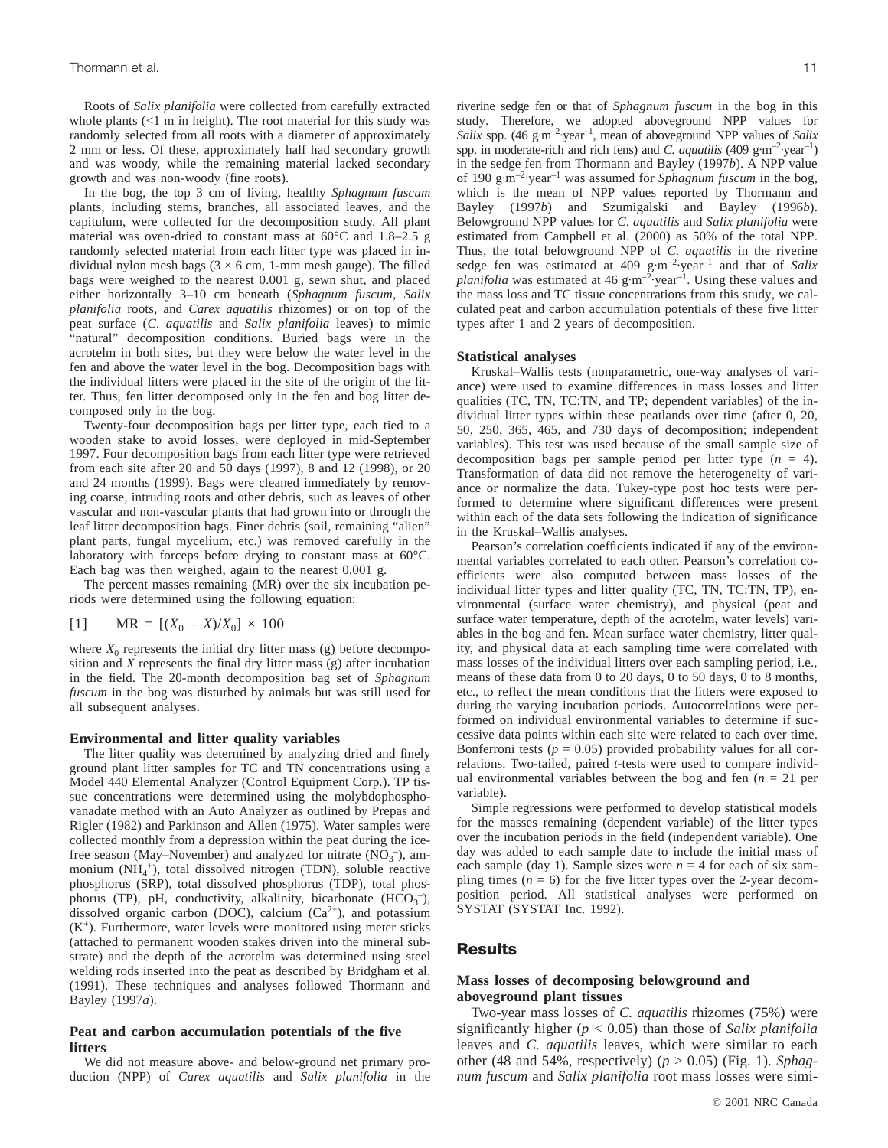Roots of *Salix planifolia* were collected from carefully extracted whole plants (<1 m in height). The root material for this study was randomly selected from all roots with a diameter of approximately 2 mm or less. Of these, approximately half had secondary growth and was woody, while the remaining material lacked secondary growth and was non-woody (fine roots).

In the bog, the top 3 cm of living, healthy *Sphagnum fuscum* plants, including stems, branches, all associated leaves, and the capitulum, were collected for the decomposition study. All plant material was oven-dried to constant mass at 60°C and 1.8–2.5 g randomly selected material from each litter type was placed in individual nylon mesh bags ( $3 \times 6$  cm, 1-mm mesh gauge). The filled bags were weighed to the nearest 0.001 g, sewn shut, and placed either horizontally 3–10 cm beneath (*Sphagnum fuscum*, *Salix planifolia* roots, and *Carex aquatilis* rhizomes) or on top of the peat surface (*C*. *aquatilis* and *Salix planifolia* leaves) to mimic "natural" decomposition conditions. Buried bags were in the acrotelm in both sites, but they were below the water level in the fen and above the water level in the bog. Decomposition bags with the individual litters were placed in the site of the origin of the litter. Thus, fen litter decomposed only in the fen and bog litter decomposed only in the bog.

Twenty-four decomposition bags per litter type, each tied to a wooden stake to avoid losses, were deployed in mid-September 1997. Four decomposition bags from each litter type were retrieved from each site after 20 and 50 days (1997), 8 and 12 (1998), or 20 and 24 months (1999). Bags were cleaned immediately by removing coarse, intruding roots and other debris, such as leaves of other vascular and non-vascular plants that had grown into or through the leaf litter decomposition bags. Finer debris (soil, remaining "alien" plant parts, fungal mycelium, etc.) was removed carefully in the laboratory with forceps before drying to constant mass at 60°C. Each bag was then weighed, again to the nearest 0.001 g.

The percent masses remaining (MR) over the six incubation periods were determined using the following equation:

[1] 
$$
MR = [(X_0 - X)/X_0] \times 100
$$

where  $X_0$  represents the initial dry litter mass (g) before decomposition and *X* represents the final dry litter mass (g) after incubation in the field. The 20-month decomposition bag set of *Sphagnum fuscum* in the bog was disturbed by animals but was still used for all subsequent analyses.

#### **Environmental and litter quality variables**

The litter quality was determined by analyzing dried and finely ground plant litter samples for TC and TN concentrations using a Model 440 Elemental Analyzer (Control Equipment Corp.). TP tissue concentrations were determined using the molybdophosphovanadate method with an Auto Analyzer as outlined by Prepas and Rigler (1982) and Parkinson and Allen (1975). Water samples were collected monthly from a depression within the peat during the icefree season (May–November) and analyzed for nitrate  $(NO<sub>3</sub><sup>-</sup>)$ , ammonium (NH<sub>4</sub><sup>+</sup>), total dissolved nitrogen (TDN), soluble reactive phosphorus (SRP), total dissolved phosphorus (TDP), total phosphorus (TP), pH, conductivity, alkalinity, bicarbonate  $(HCO<sub>3</sub><sup>-</sup>)$ , dissolved organic carbon (DOC), calcium  $(Ca^{2+})$ , and potassium  $(K^+)$ . Furthermore, water levels were monitored using meter sticks (attached to permanent wooden stakes driven into the mineral substrate) and the depth of the acrotelm was determined using steel welding rods inserted into the peat as described by Bridgham et al. (1991). These techniques and analyses followed Thormann and Bayley (1997*a*).

#### **Peat and carbon accumulation potentials of the five litters**

We did not measure above- and below-ground net primary production (NPP) of *Carex aquatilis* and *Salix planifolia* in the riverine sedge fen or that of *Sphagnum fuscum* in the bog in this study. Therefore, we adopted aboveground NPP values for *Salix* spp. (46 g·m–2·year–1, mean of aboveground NPP values of *Salix* spp. in moderate-rich and rich fens) and *C. aquatilis* (409 g·m<sup>-2</sup>·year<sup>-1</sup>) in the sedge fen from Thormann and Bayley (1997*b*). A NPP value of 190 g·m–2·year–1 was assumed for *Sphagnum fuscum* in the bog, which is the mean of NPP values reported by Thormann and Bayley (1997*b*) and Szumigalski and Bayley (1996*b*). Belowground NPP values for *C*. *aquatilis* and *Salix planifolia* were estimated from Campbell et al. (2000) as 50% of the total NPP. Thus, the total belowground NPP of *C. aquatilis* in the riverine sedge fen was estimated at 409 g·m<sup>-2</sup>·year<sup>-1</sup> and that of *Salix planifolia* was estimated at 46 g·m<sup>-2</sup>·year<sup>-1</sup>. Using these values and the mass loss and TC tissue concentrations from this study, we calculated peat and carbon accumulation potentials of these five litter types after 1 and 2 years of decomposition.

#### **Statistical analyses**

Kruskal–Wallis tests (nonparametric, one-way analyses of variance) were used to examine differences in mass losses and litter qualities (TC, TN, TC:TN, and TP; dependent variables) of the individual litter types within these peatlands over time (after 0, 20, 50, 250, 365, 465, and 730 days of decomposition; independent variables). This test was used because of the small sample size of decomposition bags per sample period per litter type (*n* = 4). Transformation of data did not remove the heterogeneity of variance or normalize the data. Tukey-type post hoc tests were performed to determine where significant differences were present within each of the data sets following the indication of significance in the Kruskal–Wallis analyses.

Pearson's correlation coefficients indicated if any of the environmental variables correlated to each other. Pearson's correlation coefficients were also computed between mass losses of the individual litter types and litter quality (TC, TN, TC:TN, TP), environmental (surface water chemistry), and physical (peat and surface water temperature, depth of the acrotelm, water levels) variables in the bog and fen. Mean surface water chemistry, litter quality, and physical data at each sampling time were correlated with mass losses of the individual litters over each sampling period, i.e., means of these data from 0 to 20 days, 0 to 50 days, 0 to 8 months, etc., to reflect the mean conditions that the litters were exposed to during the varying incubation periods. Autocorrelations were performed on individual environmental variables to determine if successive data points within each site were related to each over time. Bonferroni tests ( $p = 0.05$ ) provided probability values for all correlations. Two-tailed, paired *t*-tests were used to compare individual environmental variables between the bog and fen  $(n = 21$  per variable).

Simple regressions were performed to develop statistical models for the masses remaining (dependent variable) of the litter types over the incubation periods in the field (independent variable). One day was added to each sample date to include the initial mass of each sample (day 1). Sample sizes were  $n = 4$  for each of six sampling times  $(n = 6)$  for the five litter types over the 2-year decomposition period. All statistical analyses were performed on SYSTAT (SYSTAT Inc. 1992).

# **Results**

### **Mass losses of decomposing belowground and aboveground plant tissues**

Two-year mass losses of *C. aquatilis* rhizomes (75%) were significantly higher (*p* < 0.05) than those of *Salix planifolia* leaves and *C. aquatilis* leaves, which were similar to each other (48 and 54%, respectively) (*p* > 0.05) (Fig. 1). *Sphagnum fuscum* and *Salix planifolia* root mass losses were simi-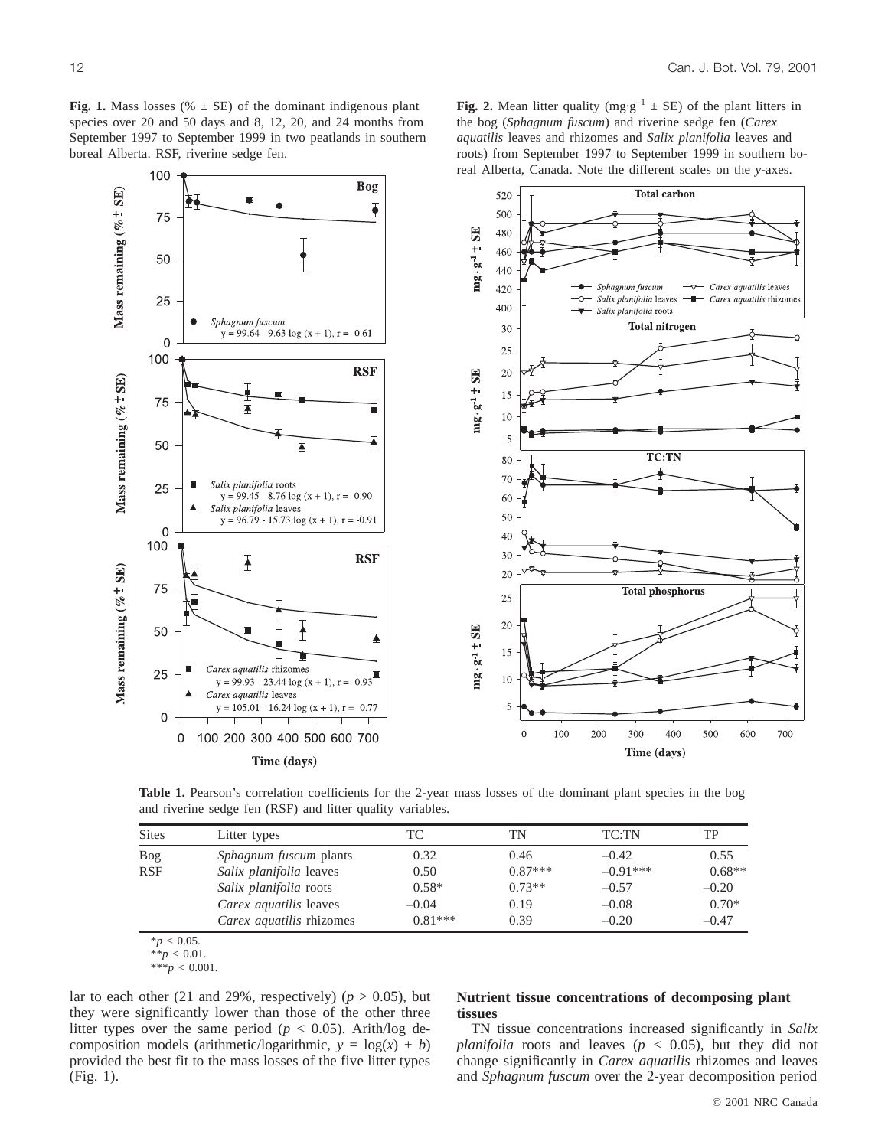**Fig. 2.** Mean litter quality (mg·g<sup>-1</sup>  $\pm$  SE) of the plant litters in the bog (*Sphagnum fuscum*) and riverine sedge fen (*Carex aquatilis* leaves and rhizomes and *Salix planifolia* leaves and roots) from September 1997 to September 1999 in southern bo-

real Alberta, Canada. Note the different scales on the *y*-axes. 100 **Bog** Mass remaining ( $\%$   $\pm$  SE) **Total carbon** 520  $\overline{\mathbf{P}}$ 500 75  $mg \cdot g^{-1} + SE$ 480 460 50 440 Sphagnum fuscum - Carex aquatilis leaves 420 Salix planifolia leaves - Carex aquatilis rhizomes 25 Ō-400 Salix planifolia roots Sphagnum fuscum **Total nitrogen** 30  $y = 99.64 - 9.63 \log(x + 1), r = -0.61$  $\overline{0}$ 25 100 **RSF** 20  $mg \cdot g^{-1} + SE$ Mass remaining  $(% \pm SE)$ 15 75 Ŧ  $10$ 5 50 **TC:TN** 80 70 Salix planifolia roots 25  $y = 99.45 - 8.76 \log(x + 1), r = -0.90$ 60 Salix planifolia leaves 50  $y = 96.79 - 15.73 \log(x + 1), r = -0.91$  $\mathbf 0$ 40 100  $30$ **RSF**  $\overline{1}$ Mass remaining (%  $\pm$  SE) 20 75 **Total phosphorus** 25 20 ╽ 50  $mg \cdot g \cdot 1 + SE$  $\overline{\mathbf{A}}$ 15 Carex aquatilis rhizomes 25 10  $y = 99.93 - 23.44 \log(x + 1), r =$  $-0.93$ Carex aquatilis leaves  $y = 105.01 - 16.24 \log(x + 1), r =$ 5  $\mathbf 0$ 100 200 300 400 500 600 700  $\theta$ 0 100 200 300 400 500 600 700 Time (days) Time (days)

**Table 1.** Pearson's correlation coefficients for the 2-year mass losses of the dominant plant species in the bog and riverine sedge fen (RSF) and litter quality variables.

| <b>Sites</b> | Litter types                    | ТC        | TN        | TC:TN      | TP       |
|--------------|---------------------------------|-----------|-----------|------------|----------|
| Bog          | <i>Sphagnum fuscum</i> plants   | 0.32      | 0.46      | $-0.42$    | 0.55     |
| <b>RSF</b>   | Salix planifolia leaves         | 0.50      | $0.87***$ | $-0.91***$ | $0.68**$ |
|              | Salix planifolia roots          | $0.58*$   | $0.73**$  | $-0.57$    | $-0.20$  |
|              | Carex aquatilis leaves          | $-0.04$   | 0.19      | $-0.08$    | $0.70*$  |
|              | <i>Carex aquatilis rhizomes</i> | $0.81***$ | 0.39      | $-0.20$    | $-0.47$  |

 $*_{p}$  < 0.05.

 $***p < 0.001$ .

lar to each other (21 and 29%, respectively) ( $p > 0.05$ ), but they were significantly lower than those of the other three litter types over the same period ( $p < 0.05$ ). Arith/log decomposition models (arithmetic/logarithmic,  $y = log(x) + b$ ) provided the best fit to the mass losses of the five litter types (Fig. 1).

# **Nutrient tissue concentrations of decomposing plant tissues**

TN tissue concentrations increased significantly in *Salix planifolia* roots and leaves ( $p < 0.05$ ), but they did not change significantly in *Carex aquatilis* rhizomes and leaves and *Sphagnum fuscum* over the 2-year decomposition period

 $*\hat{}p$  < 0.01.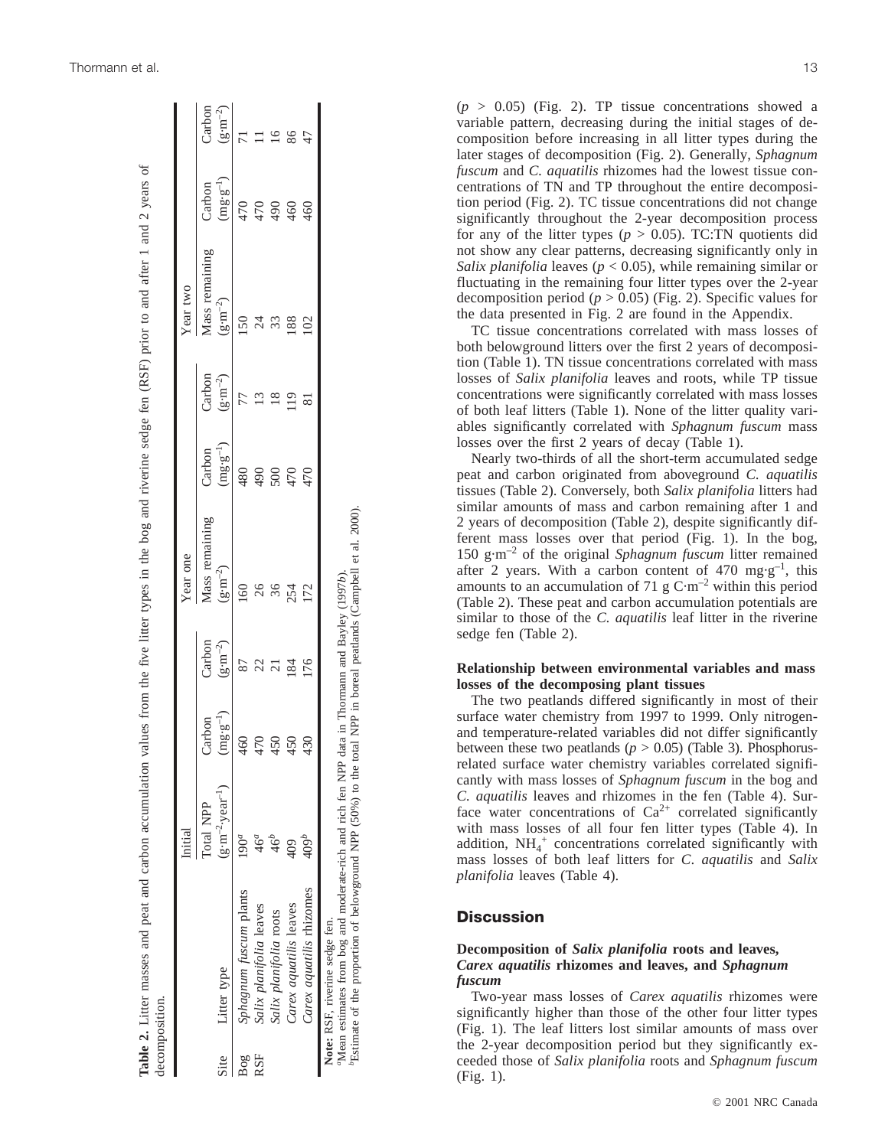| Mass remaining<br>$(g \cdot m^{-2})$<br>$\frac{60}{2}$<br>26<br>36<br>254<br>172<br>Carbon<br>$(\text{g}\!\cdot\!\text{m}^{\text{-2}})$<br>22<br>176<br>87<br>$(\rm{mg}\!\cdot\!\rm{g}^{-1})$<br>Carbon<br>460<br>470<br>450<br>430<br>450<br>$(\text{g} \cdot \text{m}^{-2} \cdot \text{year}^{-1})$<br>Total NPP<br>409 <sup>b</sup><br>$9^a$<br>Carex aquatilis rhizomes<br>Sphagnum fuscum plants<br>Carex aquatilis leaves<br>Salix planifolia leaves<br>Salix planifolia roots<br>Note: RSF, riverine sedge fen.<br>Litter type<br><b>RSF</b><br>Site<br>$B_{0g}$ | Initial | Year one                      |                                                     | Year two                             |                               |                              |
|-------------------------------------------------------------------------------------------------------------------------------------------------------------------------------------------------------------------------------------------------------------------------------------------------------------------------------------------------------------------------------------------------------------------------------------------------------------------------------------------------------------------------------------------------------------------------|---------|-------------------------------|-----------------------------------------------------|--------------------------------------|-------------------------------|------------------------------|
|                                                                                                                                                                                                                                                                                                                                                                                                                                                                                                                                                                         |         | $(mg \cdot g^{-1})$<br>Carbon | Carbon<br>$(\text{g}\!\cdot\!\text{m}^{\text{-2}})$ | Mass remaining<br>$(g \cdot m^{-2})$ | $(mg \cdot g^{-1})$<br>Carbon | Carbon<br>$(g \cdot m^{-2})$ |
|                                                                                                                                                                                                                                                                                                                                                                                                                                                                                                                                                                         |         | 480                           | 77                                                  | 150                                  | 470                           |                              |
|                                                                                                                                                                                                                                                                                                                                                                                                                                                                                                                                                                         |         | 490                           | Ľ                                                   |                                      | 470                           |                              |
|                                                                                                                                                                                                                                                                                                                                                                                                                                                                                                                                                                         |         | 500                           |                                                     |                                      | $\frac{6}{6}$                 |                              |
|                                                                                                                                                                                                                                                                                                                                                                                                                                                                                                                                                                         |         | 470                           |                                                     | 188                                  | 460                           | 86                           |
|                                                                                                                                                                                                                                                                                                                                                                                                                                                                                                                                                                         |         | 470                           |                                                     | 102                                  | $^{460}$                      |                              |
| "Mean estimates from bog and moderate-rich and rich fen NPP data in Thormann and Bayley (1997b).                                                                                                                                                                                                                                                                                                                                                                                                                                                                        |         |                               |                                                     |                                      |                               |                              |

 $(p > 0.05)$  (Fig. 2). TP tissue concentrations showed a variable pattern, decreasing during the initial stages of de composition before increasing in all litter types during the later stages of decomposition (Fig. 2). Generally, *Sphagnum fuscum* and *C. aquatilis* rhizomes had the lowest tissue con centrations of TN and TP throughout the entire decomposi tion period (Fig. 2). TC tissue concentrations did not change significantly throughout the 2-year decomposition process for any of the litter types ( $p > 0.05$ ). TC:TN quotients did not show any clear patterns, decreasing significantly only in *Salix planifolia* leaves (*p* < 0.05), while remaining similar or fluctuating in the remaining four litter types over the 2-year decomposition period  $(p > 0.05)$  (Fig. 2). Specific values for the data presented in Fig. 2 are found in the Appendix.

TC tissue concentrations correlated with mass losses of both belowground litters over the first 2 years of decomposi tion (Table 1). TN tissue concentrations correlated with mass losses of *Salix planifolia* leaves and roots, while TP tissue concentrations were significantly correlated with mass losses of both leaf litters (Table 1). None of the litter quality vari ables significantly correlated with *Sphagnum fuscum* mass losses over the first 2 years of decay (Table 1).

Nearly two-thirds of all the short-term accumulated sedge peat and carbon originated from aboveground *C. aquatilis* tissues (Table 2). Conversely, both *Salix planifolia* litters had similar amounts of mass and carbon remaining after 1 and 2 years of decomposition (Table 2), despite significantly different mass losses over that period (Fig. 1). In the bog, 150 g·m–2 of the original *Sphagnum fuscum* litter remained after 2 years. With a carbon content of 470 mg·g<sup>-1</sup>, this amounts to an accumulation of 71 g  $C·m<sup>-2</sup>$  within this period (Table 2). These peat and carbon accumulation potentials are similar to those of the *C. aquatilis* leaf litter in the riverine sedge fen (Table 2).

# **Relationship between environmental variables and mass losses of the decomposing plant tissues**

The two peatlands differed significantly in most of their surface water chemistry from 1997 to 1999. Only nitrogenand temperature-related variables did not differ significantly between these two peatlands  $(p > 0.05)$  (Table 3). Phosphorusrelated surface water chemistry variables correlated significantly with mass losses of *Sphagnum fuscum* in the bog and *C. aquatilis* leaves and rhizomes in the fen (Table 4). Sur face water concentrations of  $Ca^{2+}$  correlated significantly with mass losses of all four fen litter types (Table 4). In addition, NH<sub>4</sub><sup>+</sup> concentrations correlated significantly with mass losses of both leaf litters for *C* . *aquatilis* and *Salix planifolia* leaves (Table 4).

# **Discussion**

# **Decomposition of** *Salix planifolia* **roots and leaves,** *Carex aquatilis* **rhizomes and leaves, and** *Sphagnum fuscum*

Two-year mass losses of *Carex aquatilis* rhizomes were significantly higher than those of the other four litter types (Fig. 1). The leaf litters lost similar amounts of mass over the 2-year decomposition period but they significantly ex ceeded those of *Salix planifolia* roots and *Sphagnum fuscum* (Fig. 1).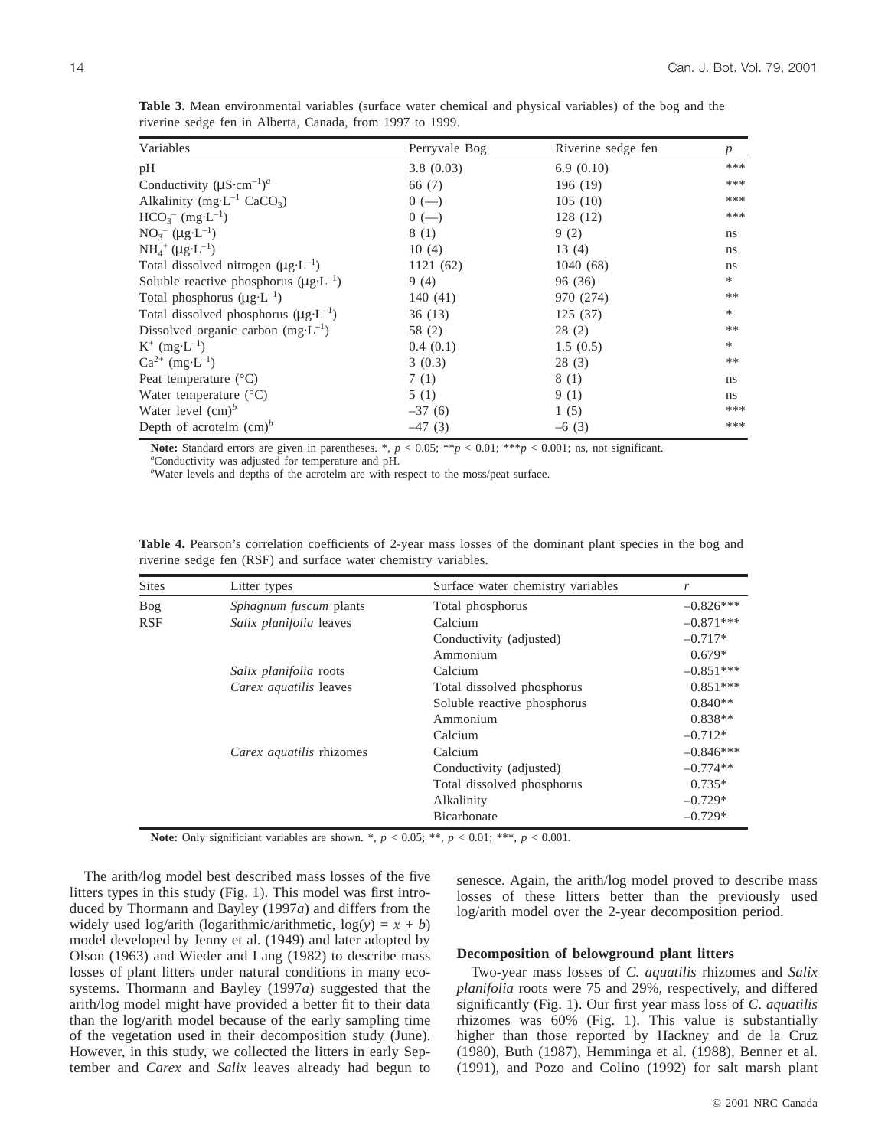| Variables                                          | Perryvale Bog | Riverine sedge fen | $\boldsymbol{p}$ |
|----------------------------------------------------|---------------|--------------------|------------------|
| pH                                                 | 3.8(0.03)     | 6.9(0.10)          | ***              |
| Conductivity $(\mu S\text{-}cm^{-1})^a$            | 66 (7)        | 196 (19)           | ***              |
| Alkalinity (mg·L <sup>-1</sup> CaCO <sub>3</sub> ) | $0 (-)$       | 105(10)            | ***              |
| $HCO3- (mg·L-1)$                                   | $0 (-)$       | 128 (12)           | ***              |
| $NO_3^-$ ( $\mu g \cdot L^{-1}$ )                  | 8 (1)         | 9(2)               | ns               |
| $NH_4^+$ ( $\mu$ g·L <sup>-1</sup> )               | 10(4)         | 13(4)              | ns               |
| Total dissolved nitrogen $(\mu g \cdot L^{-1})$    | 1121(62)      | 1040(68)           | ns               |
| Soluble reactive phosphorus $(\mu g \cdot L^{-1})$ | 9(4)          | 96 (36)            | $\ast$           |
| Total phosphorus $(\mu g \cdot L^{-1})$            | 140 $(41)$    | 970 (274)          | **               |
| Total dissolved phosphorus $(\mu g \cdot L^{-1})$  | 36(13)        | 125(37)            | *                |
| Dissolved organic carbon $(mg \cdot L^{-1})$       | 58 (2)        | 28(2)              | **               |
| $K^+$ (mg·L <sup>-1</sup> )                        | 0.4(0.1)      | 1.5(0.5)           | *                |
| $Ca^{2+}$ (mg·L <sup>-1</sup> )                    | 3(0.3)        | 28(3)              | **               |
| Peat temperature $(^{\circ}C)$                     | 7(1)          | 8 (1)              | ns               |
| Water temperature $(^{\circ}C)$                    | 5(1)          | 9(1)               | ns.              |
| Water level $(cm)^b$                               | $-37(6)$      | 1(5)               | ***              |
| Depth of acrotelm $(cm)^b$                         | $-47(3)$      | $-6(3)$            | ***              |

**Table 3.** Mean environmental variables (surface water chemical and physical variables) of the bog and the riverine sedge fen in Alberta, Canada, from 1997 to 1999.

**Note:** Standard errors are given in parentheses. \*,  $p < 0.05$ ; \*\* $p < 0.01$ ; \*\*\* $p < 0.001$ ; ns, not significant. *a* Conductivity was adjusted for temperature and pH.

<sup>b</sup>Water levels and depths of the acrotelm are with respect to the moss/peat surface.

| <b>Sites</b> | Litter types                  | Surface water chemistry variables | r           |
|--------------|-------------------------------|-----------------------------------|-------------|
| Bog          | <i>Sphagnum fuscum</i> plants | Total phosphorus                  | $-0.826***$ |
| <b>RSF</b>   | Salix planifolia leaves       | Calcium                           | $-0.871***$ |
|              |                               | Conductivity (adjusted)           | $-0.717*$   |
|              |                               | Ammonium                          | $0.679*$    |
|              | Salix planifolia roots        | Calcium                           | $-0.851***$ |
|              | <i>Carex aquatilis leaves</i> | Total dissolved phosphorus        | $0.851***$  |
|              |                               | Soluble reactive phosphorus       | $0.840**$   |
|              |                               | Ammonium                          | $0.838**$   |
|              |                               | Calcium                           | $-0.712*$   |
|              | Carex aquatilis rhizomes      | Calcium                           | $-0.846***$ |
|              |                               | Conductivity (adjusted)           | $-0.774**$  |
|              |                               | Total dissolved phosphorus        | $0.735*$    |
|              |                               | Alkalinity                        | $-0.729*$   |
|              |                               | Bicarbonate                       | $-0.729*$   |

**Table 4.** Pearson's correlation coefficients of 2-year mass losses of the dominant plant species in the bog and riverine sedge fen (RSF) and surface water chemistry variables.

**Note:** Only significiant variables are shown. \*,  $p < 0.05$ ; \*\*,  $p < 0.01$ ; \*\*\*,  $p < 0.001$ .

The arith/log model best described mass losses of the five litters types in this study (Fig. 1). This model was first introduced by Thormann and Bayley (1997*a*) and differs from the widely used  $\log/\arith$  ( $\log\arithmic/\arithmetic$ ,  $\log(y) = x + b$ ) model developed by Jenny et al. (1949) and later adopted by Olson (1963) and Wieder and Lang (1982) to describe mass losses of plant litters under natural conditions in many ecosystems. Thormann and Bayley (1997*a*) suggested that the arith/log model might have provided a better fit to their data than the log/arith model because of the early sampling time of the vegetation used in their decomposition study (June). However, in this study, we collected the litters in early September and *Carex* and *Salix* leaves already had begun to

senesce. Again, the arith/log model proved to describe mass losses of these litters better than the previously used log/arith model over the 2-year decomposition period.

#### **Decomposition of belowground plant litters**

Two-year mass losses of *C. aquatilis* rhizomes and *Salix planifolia* roots were 75 and 29%, respectively, and differed significantly (Fig. 1). Our first year mass loss of *C*. *aquatilis* rhizomes was 60% (Fig. 1). This value is substantially higher than those reported by Hackney and de la Cruz (1980), Buth (1987), Hemminga et al. (1988), Benner et al. (1991), and Pozo and Colino (1992) for salt marsh plant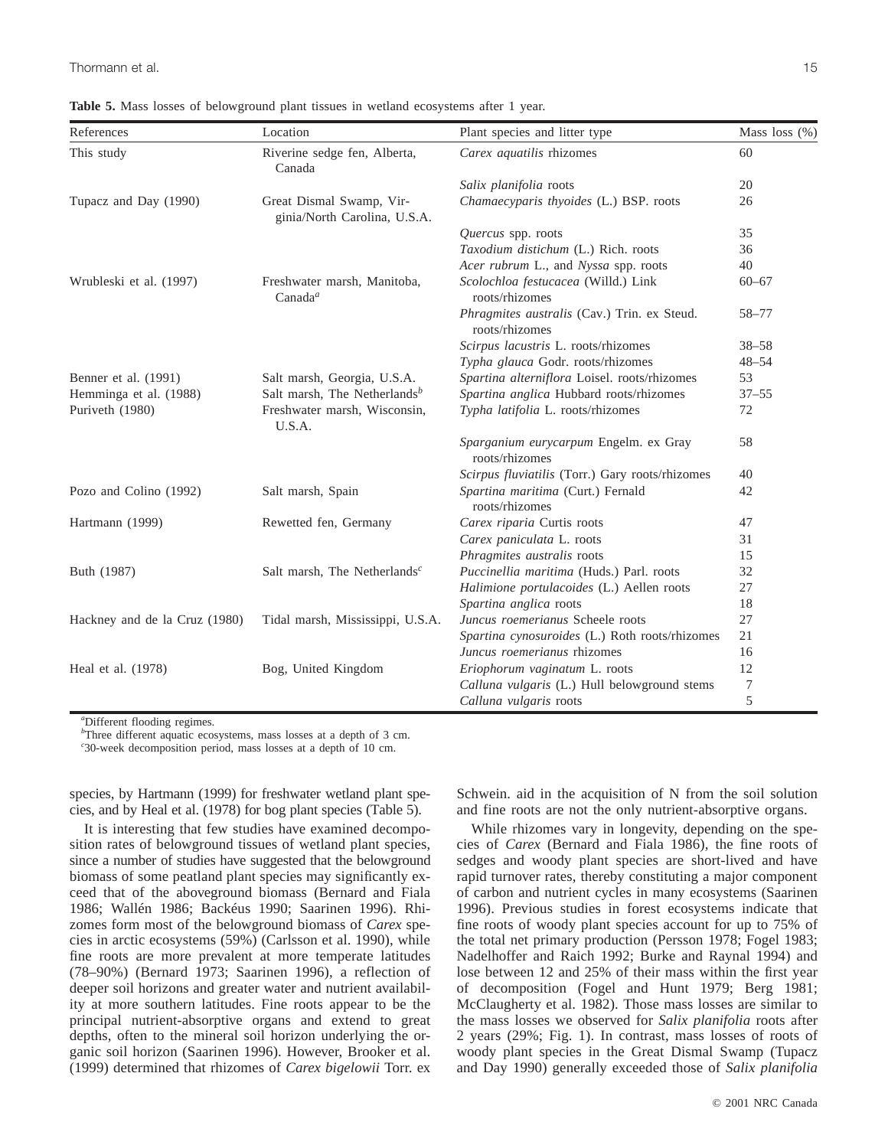| References                    | Location                                                 | Plant species and litter type                                 | Mass loss $(\%)$ |
|-------------------------------|----------------------------------------------------------|---------------------------------------------------------------|------------------|
| This study                    | Riverine sedge fen, Alberta,<br>Canada                   | Carex aquatilis rhizomes                                      | 60               |
|                               |                                                          | Salix planifolia roots                                        | 20               |
| Tupacz and Day (1990)         | Great Dismal Swamp, Vir-<br>ginia/North Carolina, U.S.A. | Chamaecyparis thyoides (L.) BSP. roots                        | 26               |
|                               |                                                          | Quercus spp. roots                                            | 35               |
|                               |                                                          | Taxodium distichum (L.) Rich. roots                           | 36               |
|                               |                                                          | Acer rubrum L., and Nyssa spp. roots                          | 40               |
| Wrubleski et al. (1997)       | Freshwater marsh, Manitoba,<br>Canada <sup>a</sup>       | Scolochloa festucacea (Willd.) Link<br>roots/rhizomes         | $60 - 67$        |
|                               |                                                          | Phragmites australis (Cav.) Trin. ex Steud.<br>roots/rhizomes | $58 - 77$        |
|                               |                                                          | Scirpus lacustris L. roots/rhizomes                           | $38 - 58$        |
|                               |                                                          | Typha glauca Godr. roots/rhizomes                             | $48 - 54$        |
| Benner et al. (1991)          | Salt marsh, Georgia, U.S.A.                              | Spartina alterniflora Loisel. roots/rhizomes                  | 53               |
| Hemminga et al. (1988)        | Salt marsh, The Netherlands <sup>b</sup>                 | Spartina anglica Hubbard roots/rhizomes                       | $37 - 55$        |
| Puriveth (1980)               | Freshwater marsh, Wisconsin,<br>U.S.A.                   | Typha latifolia L. roots/rhizomes                             | 72               |
|                               |                                                          | Sparganium eurycarpum Engelm. ex Gray<br>roots/rhizomes       | 58               |
|                               |                                                          | Scirpus fluviatilis (Torr.) Gary roots/rhizomes               | 40               |
| Pozo and Colino (1992)        | Salt marsh, Spain                                        | Spartina maritima (Curt.) Fernald<br>roots/rhizomes           | 42               |
| Hartmann (1999)               | Rewetted fen, Germany                                    | Carex riparia Curtis roots                                    | 47               |
|                               |                                                          | Carex paniculata L. roots                                     | 31               |
|                               |                                                          | Phragmites australis roots                                    | 15               |
| Buth (1987)                   | Salt marsh, The Netherlands <sup>c</sup>                 | Puccinellia maritima (Huds.) Parl. roots                      | 32               |
|                               |                                                          | Halimione portulacoides (L.) Aellen roots                     | 27               |
|                               |                                                          | Spartina anglica roots                                        | 18               |
| Hackney and de la Cruz (1980) | Tidal marsh, Mississippi, U.S.A.                         | Juncus roemerianus Scheele roots                              | 27               |
|                               |                                                          | Spartina cynosuroides (L.) Roth roots/rhizomes                | 21               |
|                               |                                                          | Juncus roemerianus rhizomes                                   | 16               |
| Heal et al. (1978)            | Bog, United Kingdom                                      | Eriophorum vaginatum L. roots                                 | 12               |
|                               |                                                          | Calluna vulgaris (L.) Hull belowground stems                  | 7                |
|                               |                                                          | Calluna vulgaris roots                                        | 5                |

**Table 5.** Mass losses of belowground plant tissues in wetland ecosystems after 1 year.

*a* Different flooding regimes.

<sup>b</sup>Three different aquatic ecosystems, mass losses at a depth of 3 cm.

*c* 30-week decomposition period, mass losses at a depth of 10 cm.

species, by Hartmann (1999) for freshwater wetland plant species, and by Heal et al. (1978) for bog plant species (Table 5).

It is interesting that few studies have examined decomposition rates of belowground tissues of wetland plant species, since a number of studies have suggested that the belowground biomass of some peatland plant species may significantly exceed that of the aboveground biomass (Bernard and Fiala 1986; Wallén 1986; Backéus 1990; Saarinen 1996). Rhizomes form most of the belowground biomass of *Carex* species in arctic ecosystems (59%) (Carlsson et al. 1990), while fine roots are more prevalent at more temperate latitudes (78–90%) (Bernard 1973; Saarinen 1996), a reflection of deeper soil horizons and greater water and nutrient availability at more southern latitudes. Fine roots appear to be the principal nutrient-absorptive organs and extend to great depths, often to the mineral soil horizon underlying the organic soil horizon (Saarinen 1996). However, Brooker et al. (1999) determined that rhizomes of *Carex bigelowii* Torr. ex Schwein. aid in the acquisition of N from the soil solution and fine roots are not the only nutrient-absorptive organs.

While rhizomes vary in longevity, depending on the species of *Carex* (Bernard and Fiala 1986), the fine roots of sedges and woody plant species are short-lived and have rapid turnover rates, thereby constituting a major component of carbon and nutrient cycles in many ecosystems (Saarinen 1996). Previous studies in forest ecosystems indicate that fine roots of woody plant species account for up to 75% of the total net primary production (Persson 1978; Fogel 1983; Nadelhoffer and Raich 1992; Burke and Raynal 1994) and lose between 12 and 25% of their mass within the first year of decomposition (Fogel and Hunt 1979; Berg 1981; McClaugherty et al. 1982). Those mass losses are similar to the mass losses we observed for *Salix planifolia* roots after 2 years (29%; Fig. 1). In contrast, mass losses of roots of woody plant species in the Great Dismal Swamp (Tupacz and Day 1990) generally exceeded those of *Salix planifolia*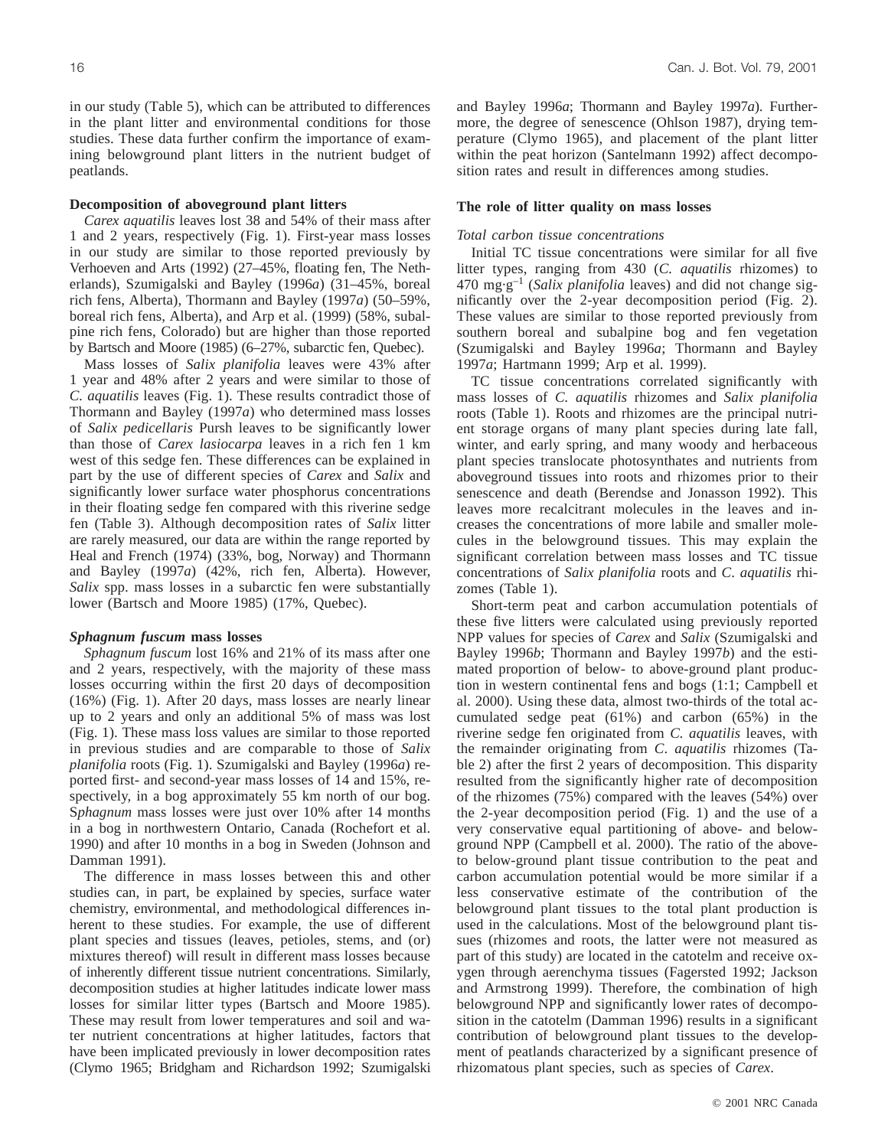in our study (Table 5), which can be attributed to differences in the plant litter and environmental conditions for those studies. These data further confirm the importance of examining belowground plant litters in the nutrient budget of peatlands.

#### **Decomposition of aboveground plant litters**

*Carex aquatilis* leaves lost 38 and 54% of their mass after 1 and 2 years, respectively (Fig. 1). First-year mass losses in our study are similar to those reported previously by Verhoeven and Arts (1992) (27–45%, floating fen, The Netherlands), Szumigalski and Bayley (1996*a*) (31–45%, boreal rich fens, Alberta), Thormann and Bayley (1997*a*) (50–59%, boreal rich fens, Alberta), and Arp et al. (1999) (58%, subalpine rich fens, Colorado) but are higher than those reported by Bartsch and Moore (1985) (6–27%, subarctic fen, Quebec).

Mass losses of *Salix planifolia* leaves were 43% after 1 year and 48% after 2 years and were similar to those of *C. aquatilis* leaves (Fig. 1). These results contradict those of Thormann and Bayley (1997*a*) who determined mass losses of *Salix pedicellaris* Pursh leaves to be significantly lower than those of *Carex lasiocarpa* leaves in a rich fen 1 km west of this sedge fen. These differences can be explained in part by the use of different species of *Carex* and *Salix* and significantly lower surface water phosphorus concentrations in their floating sedge fen compared with this riverine sedge fen (Table 3). Although decomposition rates of *Salix* litter are rarely measured, our data are within the range reported by Heal and French (1974) (33%, bog, Norway) and Thormann and Bayley (1997*a*) (42%, rich fen, Alberta). However, *Salix* spp. mass losses in a subarctic fen were substantially lower (Bartsch and Moore 1985) (17%, Quebec).

#### *Sphagnum fuscum* **mass losses**

*Sphagnum fuscum* lost 16% and 21% of its mass after one and 2 years, respectively, with the majority of these mass losses occurring within the first 20 days of decomposition (16%) (Fig. 1). After 20 days, mass losses are nearly linear up to 2 years and only an additional 5% of mass was lost (Fig. 1). These mass loss values are similar to those reported in previous studies and are comparable to those of *Salix planifolia* roots (Fig. 1). Szumigalski and Bayley (1996*a*) reported first- and second-year mass losses of 14 and 15%, respectively, in a bog approximately 55 km north of our bog. S*phagnum* mass losses were just over 10% after 14 months in a bog in northwestern Ontario, Canada (Rochefort et al. 1990) and after 10 months in a bog in Sweden (Johnson and Damman 1991).

The difference in mass losses between this and other studies can, in part, be explained by species, surface water chemistry, environmental, and methodological differences inherent to these studies. For example, the use of different plant species and tissues (leaves, petioles, stems, and (or) mixtures thereof) will result in different mass losses because of inherently different tissue nutrient concentrations. Similarly, decomposition studies at higher latitudes indicate lower mass losses for similar litter types (Bartsch and Moore 1985). These may result from lower temperatures and soil and water nutrient concentrations at higher latitudes, factors that have been implicated previously in lower decomposition rates (Clymo 1965; Bridgham and Richardson 1992; Szumigalski and Bayley 1996*a*; Thormann and Bayley 1997*a*). Furthermore, the degree of senescence (Ohlson 1987), drying temperature (Clymo 1965), and placement of the plant litter within the peat horizon (Santelmann 1992) affect decomposition rates and result in differences among studies.

#### **The role of litter quality on mass losses**

#### *Total carbon tissue concentrations*

Initial TC tissue concentrations were similar for all five litter types, ranging from 430 (*C. aquatilis* rhizomes) to  $470 \text{ mg}\cdot\text{g}^{-1}$  (*Salix planifolia* leaves) and did not change significantly over the 2-year decomposition period (Fig. 2). These values are similar to those reported previously from southern boreal and subalpine bog and fen vegetation (Szumigalski and Bayley 1996*a*; Thormann and Bayley 1997*a*; Hartmann 1999; Arp et al. 1999).

TC tissue concentrations correlated significantly with mass losses of *C. aquatilis* rhizomes and *Salix planifolia* roots (Table 1). Roots and rhizomes are the principal nutrient storage organs of many plant species during late fall, winter, and early spring, and many woody and herbaceous plant species translocate photosynthates and nutrients from aboveground tissues into roots and rhizomes prior to their senescence and death (Berendse and Jonasson 1992). This leaves more recalcitrant molecules in the leaves and increases the concentrations of more labile and smaller molecules in the belowground tissues. This may explain the significant correlation between mass losses and TC tissue concentrations of *Salix planifolia* roots and *C*. *aquatilis* rhizomes (Table 1).

Short-term peat and carbon accumulation potentials of these five litters were calculated using previously reported NPP values for species of *Carex* and *Salix* (Szumigalski and Bayley 1996*b*; Thormann and Bayley 1997*b*) and the estimated proportion of below- to above-ground plant production in western continental fens and bogs (1:1; Campbell et al. 2000). Using these data, almost two-thirds of the total accumulated sedge peat (61%) and carbon (65%) in the riverine sedge fen originated from *C. aquatilis* leaves, with the remainder originating from *C*. *aquatilis* rhizomes (Table 2) after the first 2 years of decomposition. This disparity resulted from the significantly higher rate of decomposition of the rhizomes (75%) compared with the leaves (54%) over the 2-year decomposition period (Fig. 1) and the use of a very conservative equal partitioning of above- and belowground NPP (Campbell et al. 2000). The ratio of the aboveto below-ground plant tissue contribution to the peat and carbon accumulation potential would be more similar if a less conservative estimate of the contribution of the belowground plant tissues to the total plant production is used in the calculations. Most of the belowground plant tissues (rhizomes and roots, the latter were not measured as part of this study) are located in the catotelm and receive oxygen through aerenchyma tissues (Fagersted 1992; Jackson and Armstrong 1999). Therefore, the combination of high belowground NPP and significantly lower rates of decomposition in the catotelm (Damman 1996) results in a significant contribution of belowground plant tissues to the development of peatlands characterized by a significant presence of rhizomatous plant species, such as species of *Carex*.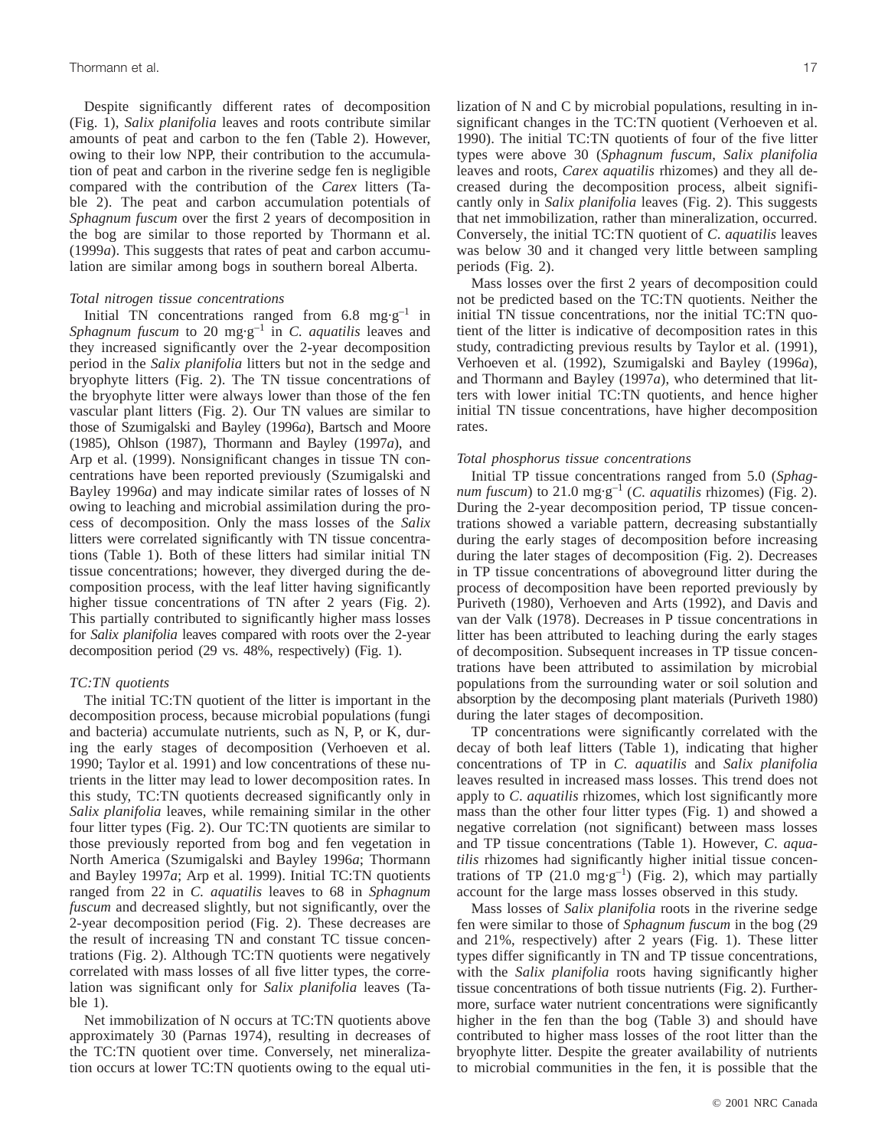Despite significantly different rates of decomposition (Fig. 1), *Salix planifolia* leaves and roots contribute similar amounts of peat and carbon to the fen (Table 2). However, owing to their low NPP, their contribution to the accumulation of peat and carbon in the riverine sedge fen is negligible compared with the contribution of the *Carex* litters (Table 2). The peat and carbon accumulation potentials of *Sphagnum fuscum* over the first 2 years of decomposition in the bog are similar to those reported by Thormann et al. (1999*a*). This suggests that rates of peat and carbon accumulation are similar among bogs in southern boreal Alberta.

#### *Total nitrogen tissue concentrations*

Initial TN concentrations ranged from 6.8 mg·g<sup>-1</sup> in *Sphagnum fuscum* to 20  $mg \cdot g^{-1}$  in *C. aquatilis* leaves and they increased significantly over the 2-year decomposition period in the *Salix planifolia* litters but not in the sedge and bryophyte litters (Fig. 2). The TN tissue concentrations of the bryophyte litter were always lower than those of the fen vascular plant litters (Fig. 2). Our TN values are similar to those of Szumigalski and Bayley (1996*a*), Bartsch and Moore (1985), Ohlson (1987), Thormann and Bayley (1997*a*), and Arp et al. (1999). Nonsignificant changes in tissue TN concentrations have been reported previously (Szumigalski and Bayley 1996*a*) and may indicate similar rates of losses of N owing to leaching and microbial assimilation during the process of decomposition. Only the mass losses of the *Salix* litters were correlated significantly with TN tissue concentrations (Table 1). Both of these litters had similar initial TN tissue concentrations; however, they diverged during the decomposition process, with the leaf litter having significantly higher tissue concentrations of TN after 2 years (Fig. 2). This partially contributed to significantly higher mass losses for *Salix planifolia* leaves compared with roots over the 2-year decomposition period (29 vs. 48%, respectively) (Fig. 1).

#### *TC:TN quotients*

The initial TC:TN quotient of the litter is important in the decomposition process, because microbial populations (fungi and bacteria) accumulate nutrients, such as N, P, or K, during the early stages of decomposition (Verhoeven et al. 1990; Taylor et al. 1991) and low concentrations of these nutrients in the litter may lead to lower decomposition rates. In this study, TC:TN quotients decreased significantly only in *Salix planifolia* leaves, while remaining similar in the other four litter types (Fig. 2). Our TC:TN quotients are similar to those previously reported from bog and fen vegetation in North America (Szumigalski and Bayley 1996*a*; Thormann and Bayley 1997*a*; Arp et al. 1999). Initial TC:TN quotients ranged from 22 in *C. aquatilis* leaves to 68 in *Sphagnum fuscum* and decreased slightly, but not significantly, over the 2-year decomposition period (Fig. 2). These decreases are the result of increasing TN and constant TC tissue concentrations (Fig. 2). Although TC:TN quotients were negatively correlated with mass losses of all five litter types, the correlation was significant only for *Salix planifolia* leaves (Table 1).

Net immobilization of N occurs at TC:TN quotients above approximately 30 (Parnas 1974), resulting in decreases of the TC:TN quotient over time. Conversely, net mineralization occurs at lower TC:TN quotients owing to the equal utilization of N and C by microbial populations, resulting in insignificant changes in the TC:TN quotient (Verhoeven et al. 1990). The initial TC:TN quotients of four of the five litter types were above 30 (*Sphagnum fuscum*, *Salix planifolia* leaves and roots, *Carex aquatilis* rhizomes) and they all decreased during the decomposition process, albeit significantly only in *Salix planifolia* leaves (Fig. 2). This suggests that net immobilization, rather than mineralization, occurred. Conversely, the initial TC:TN quotient of *C*. *aquatilis* leaves was below 30 and it changed very little between sampling periods (Fig. 2).

Mass losses over the first 2 years of decomposition could not be predicted based on the TC:TN quotients. Neither the initial TN tissue concentrations, nor the initial TC:TN quotient of the litter is indicative of decomposition rates in this study, contradicting previous results by Taylor et al. (1991), Verhoeven et al. (1992), Szumigalski and Bayley (1996*a*), and Thormann and Bayley (1997*a*), who determined that litters with lower initial TC:TN quotients, and hence higher initial TN tissue concentrations, have higher decomposition rates.

#### *Total phosphorus tissue concentrations*

Initial TP tissue concentrations ranged from 5.0 (*Sphagnum fuscum*) to 21.0 mg·g<sup>-1</sup> (*C. aquatilis* rhizomes) (Fig. 2). During the 2-year decomposition period, TP tissue concentrations showed a variable pattern, decreasing substantially during the early stages of decomposition before increasing during the later stages of decomposition (Fig. 2). Decreases in TP tissue concentrations of aboveground litter during the process of decomposition have been reported previously by Puriveth (1980), Verhoeven and Arts (1992), and Davis and van der Valk (1978). Decreases in P tissue concentrations in litter has been attributed to leaching during the early stages of decomposition. Subsequent increases in TP tissue concentrations have been attributed to assimilation by microbial populations from the surrounding water or soil solution and absorption by the decomposing plant materials (Puriveth 1980) during the later stages of decomposition.

TP concentrations were significantly correlated with the decay of both leaf litters (Table 1), indicating that higher concentrations of TP in *C. aquatilis* and *Salix planifolia* leaves resulted in increased mass losses. This trend does not apply to *C*. *aquatilis* rhizomes, which lost significantly more mass than the other four litter types (Fig. 1) and showed a negative correlation (not significant) between mass losses and TP tissue concentrations (Table 1). However, *C*. *aquatilis* rhizomes had significantly higher initial tissue concentrations of TP (21.0 mg·g<sup>-1</sup>) (Fig. 2), which may partially account for the large mass losses observed in this study.

Mass losses of *Salix planifolia* roots in the riverine sedge fen were similar to those of *Sphagnum fuscum* in the bog (29 and 21%, respectively) after 2 years (Fig. 1). These litter types differ significantly in TN and TP tissue concentrations, with the *Salix planifolia* roots having significantly higher tissue concentrations of both tissue nutrients (Fig. 2). Furthermore, surface water nutrient concentrations were significantly higher in the fen than the bog (Table 3) and should have contributed to higher mass losses of the root litter than the bryophyte litter. Despite the greater availability of nutrients to microbial communities in the fen, it is possible that the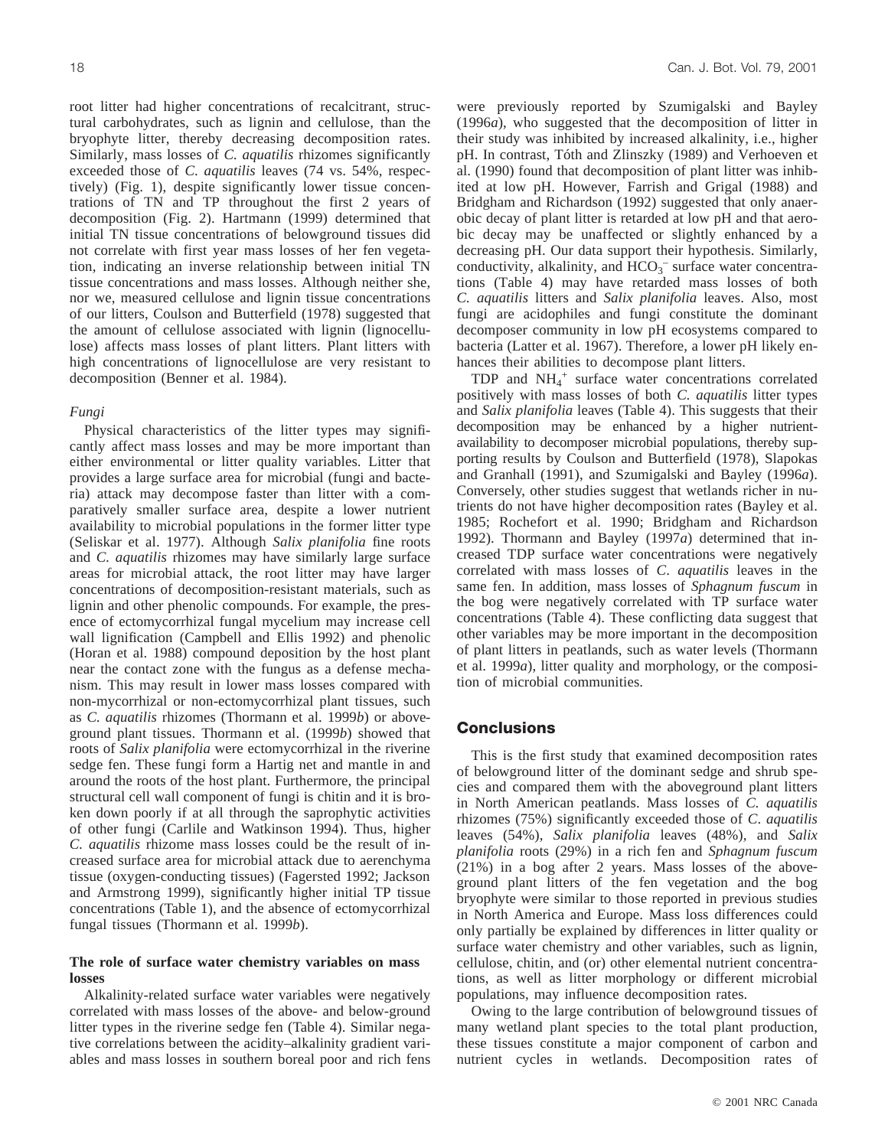root litter had higher concentrations of recalcitrant, structural carbohydrates, such as lignin and cellulose, than the bryophyte litter, thereby decreasing decomposition rates. Similarly, mass losses of *C. aquatilis* rhizomes significantly exceeded those of *C*. *aquatilis* leaves (74 vs. 54%, respectively) (Fig. 1), despite significantly lower tissue concentrations of TN and TP throughout the first 2 years of decomposition (Fig. 2). Hartmann (1999) determined that initial TN tissue concentrations of belowground tissues did not correlate with first year mass losses of her fen vegetation, indicating an inverse relationship between initial TN tissue concentrations and mass losses. Although neither she, nor we, measured cellulose and lignin tissue concentrations of our litters, Coulson and Butterfield (1978) suggested that the amount of cellulose associated with lignin (lignocellulose) affects mass losses of plant litters. Plant litters with high concentrations of lignocellulose are very resistant to decomposition (Benner et al. 1984).

#### *Fungi*

Physical characteristics of the litter types may significantly affect mass losses and may be more important than either environmental or litter quality variables. Litter that provides a large surface area for microbial (fungi and bacteria) attack may decompose faster than litter with a comparatively smaller surface area, despite a lower nutrient availability to microbial populations in the former litter type (Seliskar et al. 1977). Although *Salix planifolia* fine roots and *C. aquatilis* rhizomes may have similarly large surface areas for microbial attack, the root litter may have larger concentrations of decomposition-resistant materials, such as lignin and other phenolic compounds. For example, the presence of ectomycorrhizal fungal mycelium may increase cell wall lignification (Campbell and Ellis 1992) and phenolic (Horan et al. 1988) compound deposition by the host plant near the contact zone with the fungus as a defense mechanism. This may result in lower mass losses compared with non-mycorrhizal or non-ectomycorrhizal plant tissues, such as *C. aquatilis* rhizomes (Thormann et al. 1999*b*) or aboveground plant tissues. Thormann et al. (1999*b*) showed that roots of *Salix planifolia* were ectomycorrhizal in the riverine sedge fen. These fungi form a Hartig net and mantle in and around the roots of the host plant. Furthermore, the principal structural cell wall component of fungi is chitin and it is broken down poorly if at all through the saprophytic activities of other fungi (Carlile and Watkinson 1994). Thus, higher *C. aquatilis* rhizome mass losses could be the result of increased surface area for microbial attack due to aerenchyma tissue (oxygen-conducting tissues) (Fagersted 1992; Jackson and Armstrong 1999), significantly higher initial TP tissue concentrations (Table 1), and the absence of ectomycorrhizal fungal tissues (Thormann et al. 1999*b*).

#### **The role of surface water chemistry variables on mass losses**

Alkalinity-related surface water variables were negatively correlated with mass losses of the above- and below-ground litter types in the riverine sedge fen (Table 4). Similar negative correlations between the acidity–alkalinity gradient variables and mass losses in southern boreal poor and rich fens were previously reported by Szumigalski and Bayley (1996*a*), who suggested that the decomposition of litter in their study was inhibited by increased alkalinity, i.e., higher pH. In contrast, Tóth and Zlinszky (1989) and Verhoeven et al. (1990) found that decomposition of plant litter was inhibited at low pH. However, Farrish and Grigal (1988) and Bridgham and Richardson (1992) suggested that only anaerobic decay of plant litter is retarded at low pH and that aerobic decay may be unaffected or slightly enhanced by a decreasing pH. Our data support their hypothesis. Similarly, conductivity, alkalinity, and  $HCO_3^-$  surface water concentrations (Table 4) may have retarded mass losses of both *C. aquatilis* litters and *Salix planifolia* leaves. Also, most fungi are acidophiles and fungi constitute the dominant decomposer community in low pH ecosystems compared to bacteria (Latter et al. 1967). Therefore, a lower pH likely enhances their abilities to decompose plant litters.

TDP and NH4 <sup>+</sup> surface water concentrations correlated positively with mass losses of both *C. aquatilis* litter types and *Salix planifolia* leaves (Table 4). This suggests that their decomposition may be enhanced by a higher nutrientavailability to decomposer microbial populations, thereby supporting results by Coulson and Butterfield (1978), Slapokas and Granhall (1991), and Szumigalski and Bayley (1996*a*). Conversely, other studies suggest that wetlands richer in nutrients do not have higher decomposition rates (Bayley et al. 1985; Rochefort et al. 1990; Bridgham and Richardson 1992). Thormann and Bayley (1997*a*) determined that increased TDP surface water concentrations were negatively correlated with mass losses of *C*. *aquatilis* leaves in the same fen. In addition, mass losses of *Sphagnum fuscum* in the bog were negatively correlated with TP surface water concentrations (Table 4). These conflicting data suggest that other variables may be more important in the decomposition of plant litters in peatlands, such as water levels (Thormann et al. 1999*a*), litter quality and morphology, or the composition of microbial communities.

# **Conclusions**

This is the first study that examined decomposition rates of belowground litter of the dominant sedge and shrub species and compared them with the aboveground plant litters in North American peatlands. Mass losses of *C. aquatilis* rhizomes (75%) significantly exceeded those of *C*. *aquatilis* leaves (54%), *Salix planifolia* leaves (48%), and *Salix planifolia* roots (29%) in a rich fen and *Sphagnum fuscum* (21%) in a bog after 2 years. Mass losses of the aboveground plant litters of the fen vegetation and the bog bryophyte were similar to those reported in previous studies in North America and Europe. Mass loss differences could only partially be explained by differences in litter quality or surface water chemistry and other variables, such as lignin, cellulose, chitin, and (or) other elemental nutrient concentrations, as well as litter morphology or different microbial populations, may influence decomposition rates.

Owing to the large contribution of belowground tissues of many wetland plant species to the total plant production, these tissues constitute a major component of carbon and nutrient cycles in wetlands. Decomposition rates of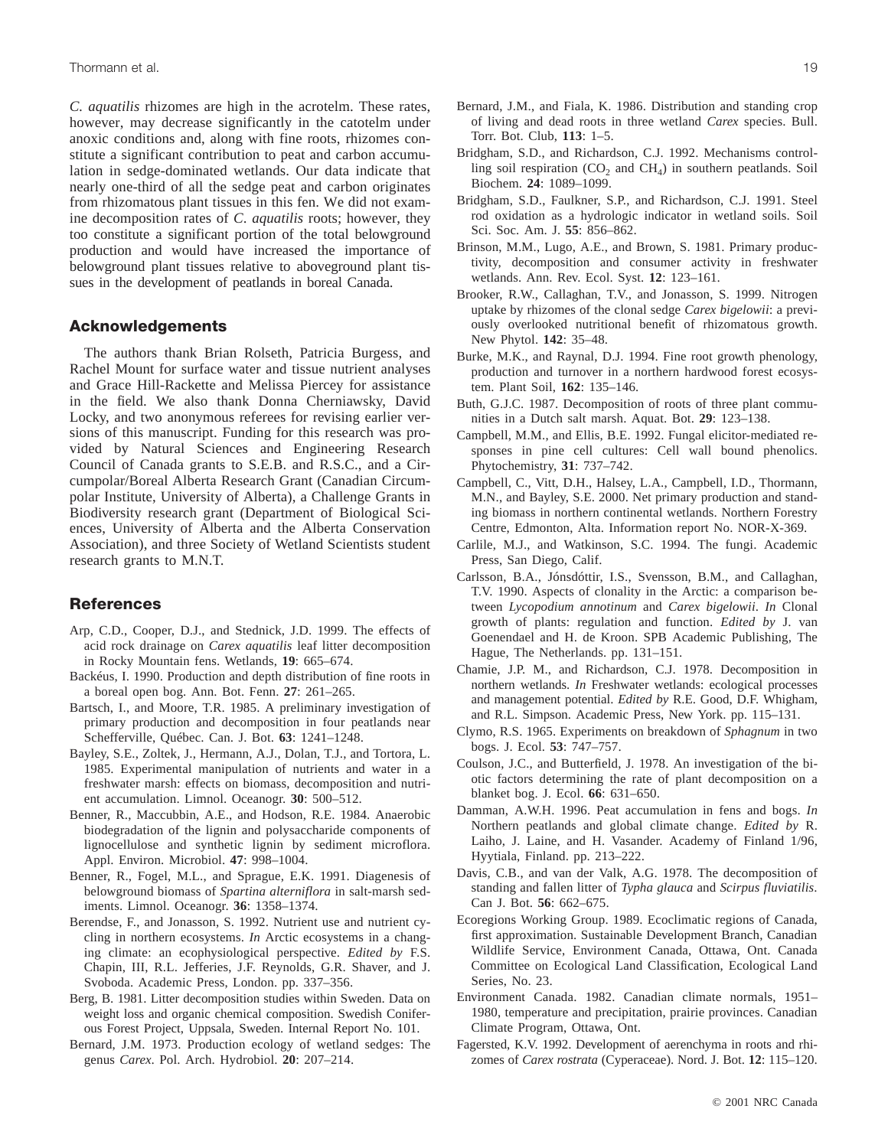*C. aquatilis* rhizomes are high in the acrotelm. These rates, however, may decrease significantly in the catotelm under anoxic conditions and, along with fine roots, rhizomes constitute a significant contribution to peat and carbon accumulation in sedge-dominated wetlands. Our data indicate that nearly one-third of all the sedge peat and carbon originates from rhizomatous plant tissues in this fen. We did not examine decomposition rates of *C*. *aquatilis* roots; however, they too constitute a significant portion of the total belowground production and would have increased the importance of belowground plant tissues relative to aboveground plant tissues in the development of peatlands in boreal Canada.

# **Acknowledgements**

The authors thank Brian Rolseth, Patricia Burgess, and Rachel Mount for surface water and tissue nutrient analyses and Grace Hill-Rackette and Melissa Piercey for assistance in the field. We also thank Donna Cherniawsky, David Locky, and two anonymous referees for revising earlier versions of this manuscript. Funding for this research was provided by Natural Sciences and Engineering Research Council of Canada grants to S.E.B. and R.S.C., and a Circumpolar/Boreal Alberta Research Grant (Canadian Circumpolar Institute, University of Alberta), a Challenge Grants in Biodiversity research grant (Department of Biological Sciences, University of Alberta and the Alberta Conservation Association), and three Society of Wetland Scientists student research grants to M.N.T.

# **References**

- Arp, C.D., Cooper, D.J., and Stednick, J.D. 1999. The effects of acid rock drainage on *Carex aquatilis* leaf litter decomposition in Rocky Mountain fens. Wetlands, **19**: 665–674.
- Backéus, I. 1990. Production and depth distribution of fine roots in a boreal open bog. Ann. Bot. Fenn. **27**: 261–265.
- Bartsch, I., and Moore, T.R. 1985. A preliminary investigation of primary production and decomposition in four peatlands near Schefferville, Québec. Can. J. Bot. **63**: 1241–1248.
- Bayley, S.E., Zoltek, J., Hermann, A.J., Dolan, T.J., and Tortora, L. 1985. Experimental manipulation of nutrients and water in a freshwater marsh: effects on biomass, decomposition and nutrient accumulation. Limnol. Oceanogr. **30**: 500–512.
- Benner, R., Maccubbin, A.E., and Hodson, R.E. 1984. Anaerobic biodegradation of the lignin and polysaccharide components of lignocellulose and synthetic lignin by sediment microflora. Appl. Environ. Microbiol. **47**: 998–1004.
- Benner, R., Fogel, M.L., and Sprague, E.K. 1991. Diagenesis of belowground biomass of *Spartina alterniflora* in salt-marsh sediments. Limnol. Oceanogr. **36**: 1358–1374.
- Berendse, F., and Jonasson, S. 1992. Nutrient use and nutrient cycling in northern ecosystems. *In* Arctic ecosystems in a changing climate: an ecophysiological perspective. *Edited by* F.S. Chapin, III, R.L. Jefferies, J.F. Reynolds, G.R. Shaver, and J. Svoboda. Academic Press, London. pp. 337–356.
- Berg, B. 1981. Litter decomposition studies within Sweden. Data on weight loss and organic chemical composition. Swedish Coniferous Forest Project, Uppsala, Sweden. Internal Report No. 101.
- Bernard, J.M. 1973. Production ecology of wetland sedges: The genus *Carex*. Pol. Arch. Hydrobiol. **20**: 207–214.
- Bernard, J.M., and Fiala, K. 1986. Distribution and standing crop of living and dead roots in three wetland *Carex* species. Bull. Torr. Bot. Club, **113**: 1–5.
- Bridgham, S.D., and Richardson, C.J. 1992. Mechanisms controlling soil respiration  $(CO_2$  and  $CH_4$ ) in southern peatlands. Soil Biochem. **24**: 1089–1099.
- Bridgham, S.D., Faulkner, S.P., and Richardson, C.J. 1991. Steel rod oxidation as a hydrologic indicator in wetland soils. Soil Sci. Soc. Am. J. **55**: 856–862.
- Brinson, M.M., Lugo, A.E., and Brown, S. 1981. Primary productivity, decomposition and consumer activity in freshwater wetlands. Ann. Rev. Ecol. Syst. **12**: 123–161.
- Brooker, R.W., Callaghan, T.V., and Jonasson, S. 1999. Nitrogen uptake by rhizomes of the clonal sedge *Carex bigelowii*: a previously overlooked nutritional benefit of rhizomatous growth. New Phytol. **142**: 35–48.
- Burke, M.K., and Raynal, D.J. 1994. Fine root growth phenology, production and turnover in a northern hardwood forest ecosystem. Plant Soil, **162**: 135–146.
- Buth, G.J.C. 1987. Decomposition of roots of three plant communities in a Dutch salt marsh. Aquat. Bot. **29**: 123–138.
- Campbell, M.M., and Ellis, B.E. 1992. Fungal elicitor-mediated responses in pine cell cultures: Cell wall bound phenolics. Phytochemistry, **31**: 737–742.
- Campbell, C., Vitt, D.H., Halsey, L.A., Campbell, I.D., Thormann, M.N., and Bayley, S.E. 2000. Net primary production and standing biomass in northern continental wetlands. Northern Forestry Centre, Edmonton, Alta. Information report No. NOR-X-369.
- Carlile, M.J., and Watkinson, S.C. 1994. The fungi. Academic Press, San Diego, Calif.
- Carlsson, B.A., Jónsdóttir, I.S., Svensson, B.M., and Callaghan, T.V. 1990. Aspects of clonality in the Arctic: a comparison between *Lycopodium annotinum* and *Carex bigelowii*. *In* Clonal growth of plants: regulation and function. *Edited by* J. van Goenendael and H. de Kroon. SPB Academic Publishing, The Hague, The Netherlands. pp. 131–151.
- Chamie, J.P. M., and Richardson, C.J. 1978. Decomposition in northern wetlands. *In* Freshwater wetlands: ecological processes and management potential. *Edited by* R.E. Good, D.F. Whigham, and R.L. Simpson. Academic Press, New York. pp. 115–131.
- Clymo, R.S. 1965. Experiments on breakdown of *Sphagnum* in two bogs. J. Ecol. **53**: 747–757.
- Coulson, J.C., and Butterfield, J. 1978. An investigation of the biotic factors determining the rate of plant decomposition on a blanket bog. J. Ecol. **66**: 631–650.
- Damman, A.W.H. 1996. Peat accumulation in fens and bogs. *In* Northern peatlands and global climate change. *Edited by* R. Laiho, J. Laine, and H. Vasander. Academy of Finland 1/96, Hyytiala, Finland. pp. 213–222.
- Davis, C.B., and van der Valk, A.G. 1978. The decomposition of standing and fallen litter of *Typha glauca* and *Scirpus fluviatilis*. Can J. Bot. **56**: 662–675.
- Ecoregions Working Group. 1989. Ecoclimatic regions of Canada, first approximation. Sustainable Development Branch, Canadian Wildlife Service, Environment Canada, Ottawa, Ont. Canada Committee on Ecological Land Classification, Ecological Land Series, No. 23.
- Environment Canada. 1982. Canadian climate normals, 1951– 1980, temperature and precipitation, prairie provinces. Canadian Climate Program, Ottawa, Ont.
- Fagersted, K.V. 1992. Development of aerenchyma in roots and rhizomes of *Carex rostrata* (Cyperaceae). Nord. J. Bot. **12**: 115–120.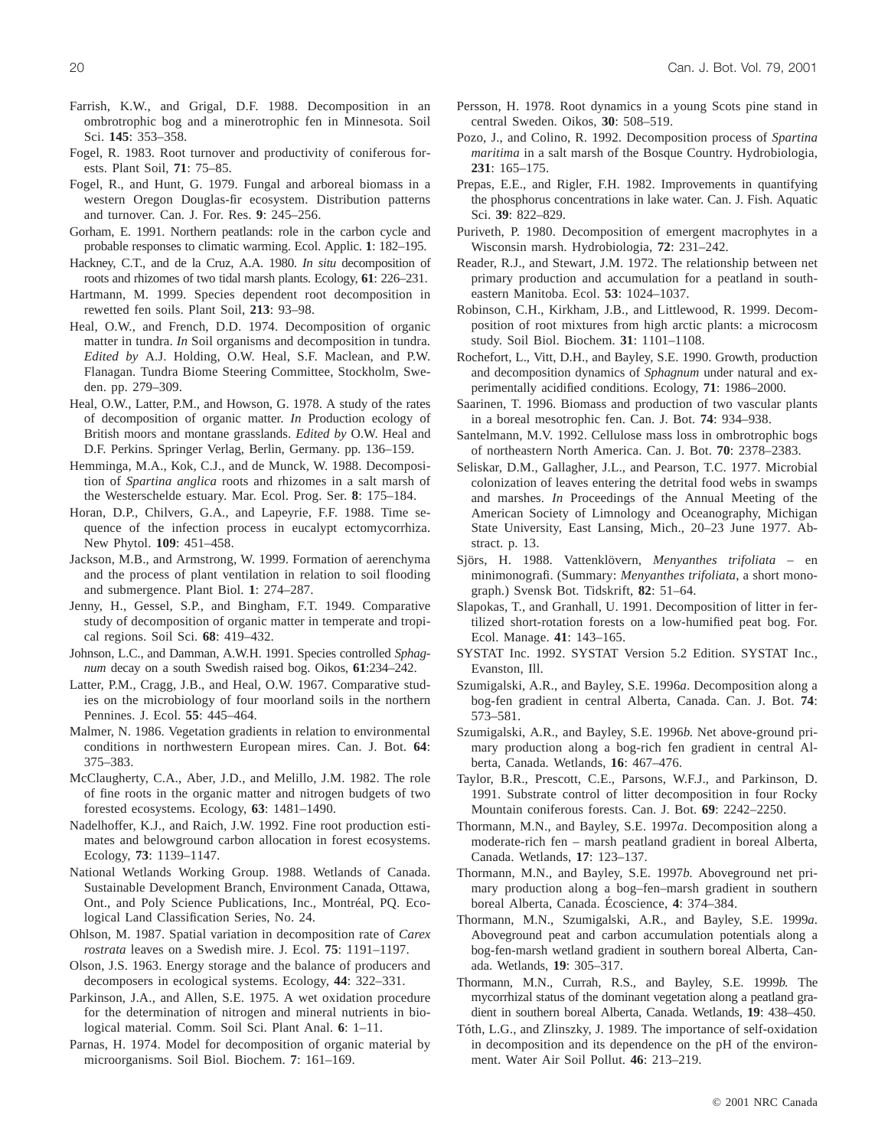- Farrish, K.W., and Grigal, D.F. 1988. Decomposition in an ombrotrophic bog and a minerotrophic fen in Minnesota. Soil Sci. **145**: 353–358.
- Fogel, R. 1983. Root turnover and productivity of coniferous forests. Plant Soil, **71**: 75–85.
- Fogel, R., and Hunt, G. 1979. Fungal and arboreal biomass in a western Oregon Douglas-fir ecosystem. Distribution patterns and turnover. Can. J. For. Res. **9**: 245–256.
- Gorham, E. 1991. Northern peatlands: role in the carbon cycle and probable responses to climatic warming. Ecol. Applic. **1**: 182–195.
- Hackney, C.T., and de la Cruz, A.A. 1980. *In situ* decomposition of roots and rhizomes of two tidal marsh plants. Ecology, **61**: 226–231.
- Hartmann, M. 1999. Species dependent root decomposition in rewetted fen soils. Plant Soil, **213**: 93–98.
- Heal, O.W., and French, D.D. 1974. Decomposition of organic matter in tundra. *In* Soil organisms and decomposition in tundra. *Edited by* A.J. Holding, O.W. Heal, S.F. Maclean, and P.W. Flanagan. Tundra Biome Steering Committee, Stockholm, Sweden. pp. 279–309.
- Heal, O.W., Latter, P.M., and Howson, G. 1978. A study of the rates of decomposition of organic matter. *In* Production ecology of British moors and montane grasslands. *Edited by* O.W. Heal and D.F. Perkins. Springer Verlag, Berlin, Germany. pp. 136–159.
- Hemminga, M.A., Kok, C.J., and de Munck, W. 1988. Decomposition of *Spartina anglica* roots and rhizomes in a salt marsh of the Westerschelde estuary. Mar. Ecol. Prog. Ser. **8**: 175–184.
- Horan, D.P., Chilvers, G.A., and Lapeyrie, F.F. 1988. Time sequence of the infection process in eucalypt ectomycorrhiza. New Phytol. **109**: 451–458.
- Jackson, M.B., and Armstrong, W. 1999. Formation of aerenchyma and the process of plant ventilation in relation to soil flooding and submergence. Plant Biol. **1**: 274–287.
- Jenny, H., Gessel, S.P., and Bingham, F.T. 1949. Comparative study of decomposition of organic matter in temperate and tropical regions. Soil Sci. **68**: 419–432.
- Johnson, L.C., and Damman, A.W.H. 1991. Species controlled *Sphagnum* decay on a south Swedish raised bog. Oikos, **61**:234–242.
- Latter, P.M., Cragg, J.B., and Heal, O.W. 1967. Comparative studies on the microbiology of four moorland soils in the northern Pennines. J. Ecol. **55**: 445–464.
- Malmer, N. 1986. Vegetation gradients in relation to environmental conditions in northwestern European mires. Can. J. Bot. **64**: 375–383.
- McClaugherty, C.A., Aber, J.D., and Melillo, J.M. 1982. The role of fine roots in the organic matter and nitrogen budgets of two forested ecosystems. Ecology, **63**: 1481–1490.
- Nadelhoffer, K.J., and Raich, J.W. 1992. Fine root production estimates and belowground carbon allocation in forest ecosystems. Ecology, **73**: 1139–1147.
- National Wetlands Working Group. 1988. Wetlands of Canada. Sustainable Development Branch, Environment Canada, Ottawa, Ont., and Poly Science Publications, Inc., Montréal, PQ. Ecological Land Classification Series, No. 24.
- Ohlson, M. 1987. Spatial variation in decomposition rate of *Carex rostrata* leaves on a Swedish mire. J. Ecol. **75**: 1191–1197.
- Olson, J.S. 1963. Energy storage and the balance of producers and decomposers in ecological systems. Ecology, **44**: 322–331.
- Parkinson, J.A., and Allen, S.E. 1975. A wet oxidation procedure for the determination of nitrogen and mineral nutrients in biological material. Comm. Soil Sci. Plant Anal. **6**: 1–11.
- Parnas, H. 1974. Model for decomposition of organic material by microorganisms. Soil Biol. Biochem. **7**: 161–169.
- Persson, H. 1978. Root dynamics in a young Scots pine stand in central Sweden. Oikos, **30**: 508–519.
- Pozo, J., and Colino, R. 1992. Decomposition process of *Spartina maritima* in a salt marsh of the Bosque Country. Hydrobiologia, **231**: 165–175.
- Prepas, E.E., and Rigler, F.H. 1982. Improvements in quantifying the phosphorus concentrations in lake water. Can. J. Fish. Aquatic Sci. **39**: 822–829.
- Puriveth, P. 1980. Decomposition of emergent macrophytes in a Wisconsin marsh. Hydrobiologia, **72**: 231–242.
- Reader, R.J., and Stewart, J.M. 1972. The relationship between net primary production and accumulation for a peatland in southeastern Manitoba. Ecol. **53**: 1024–1037.
- Robinson, C.H., Kirkham, J.B., and Littlewood, R. 1999. Decomposition of root mixtures from high arctic plants: a microcosm study. Soil Biol. Biochem. **31**: 1101–1108.
- Rochefort, L., Vitt, D.H., and Bayley, S.E. 1990. Growth, production and decomposition dynamics of *Sphagnum* under natural and experimentally acidified conditions. Ecology, **71**: 1986–2000.
- Saarinen, T. 1996. Biomass and production of two vascular plants in a boreal mesotrophic fen. Can. J. Bot. **74**: 934–938.
- Santelmann, M.V. 1992. Cellulose mass loss in ombrotrophic bogs of northeastern North America. Can. J. Bot. **70**: 2378–2383.
- Seliskar, D.M., Gallagher, J.L., and Pearson, T.C. 1977. Microbial colonization of leaves entering the detrital food webs in swamps and marshes. *In* Proceedings of the Annual Meeting of the American Society of Limnology and Oceanography, Michigan State University, East Lansing, Mich., 20–23 June 1977. Abstract. p. 13.
- Sjörs, H. 1988. Vattenklövern, *Menyanthes trifoliata* en minimonografi. (Summary: *Menyanthes trifoliata*, a short monograph.) Svensk Bot. Tidskrift, **82**: 51–64.
- Slapokas, T., and Granhall, U. 1991. Decomposition of litter in fertilized short-rotation forests on a low-humified peat bog. For. Ecol. Manage. **41**: 143–165.
- SYSTAT Inc. 1992. SYSTAT Version 5.2 Edition. SYSTAT Inc., Evanston, Ill.
- Szumigalski, A.R., and Bayley, S.E. 1996*a*. Decomposition along a bog-fen gradient in central Alberta, Canada. Can. J. Bot. **74**: 573–581.
- Szumigalski, A.R., and Bayley, S.E. 1996*b*. Net above-ground primary production along a bog-rich fen gradient in central Alberta, Canada. Wetlands, **16**: 467–476.
- Taylor, B.R., Prescott, C.E., Parsons, W.F.J., and Parkinson, D. 1991. Substrate control of litter decomposition in four Rocky Mountain coniferous forests. Can. J. Bot. **69**: 2242–2250.
- Thormann, M.N., and Bayley, S.E. 1997*a*. Decomposition along a moderate-rich fen – marsh peatland gradient in boreal Alberta, Canada. Wetlands, **17**: 123–137.
- Thormann, M.N., and Bayley, S.E. 1997*b*. Aboveground net primary production along a bog–fen–marsh gradient in southern boreal Alberta, Canada. Écoscience, **4**: 374–384.
- Thormann, M.N., Szumigalski, A.R., and Bayley, S.E. 1999*a*. Aboveground peat and carbon accumulation potentials along a bog-fen-marsh wetland gradient in southern boreal Alberta, Canada. Wetlands, **19**: 305–317.
- Thormann, M.N., Currah, R.S., and Bayley, S.E. 1999*b*. The mycorrhizal status of the dominant vegetation along a peatland gradient in southern boreal Alberta, Canada. Wetlands, **19**: 438–450.
- Tóth, L.G., and Zlinszky, J. 1989. The importance of self-oxidation in decomposition and its dependence on the pH of the environment. Water Air Soil Pollut. **46**: 213–219.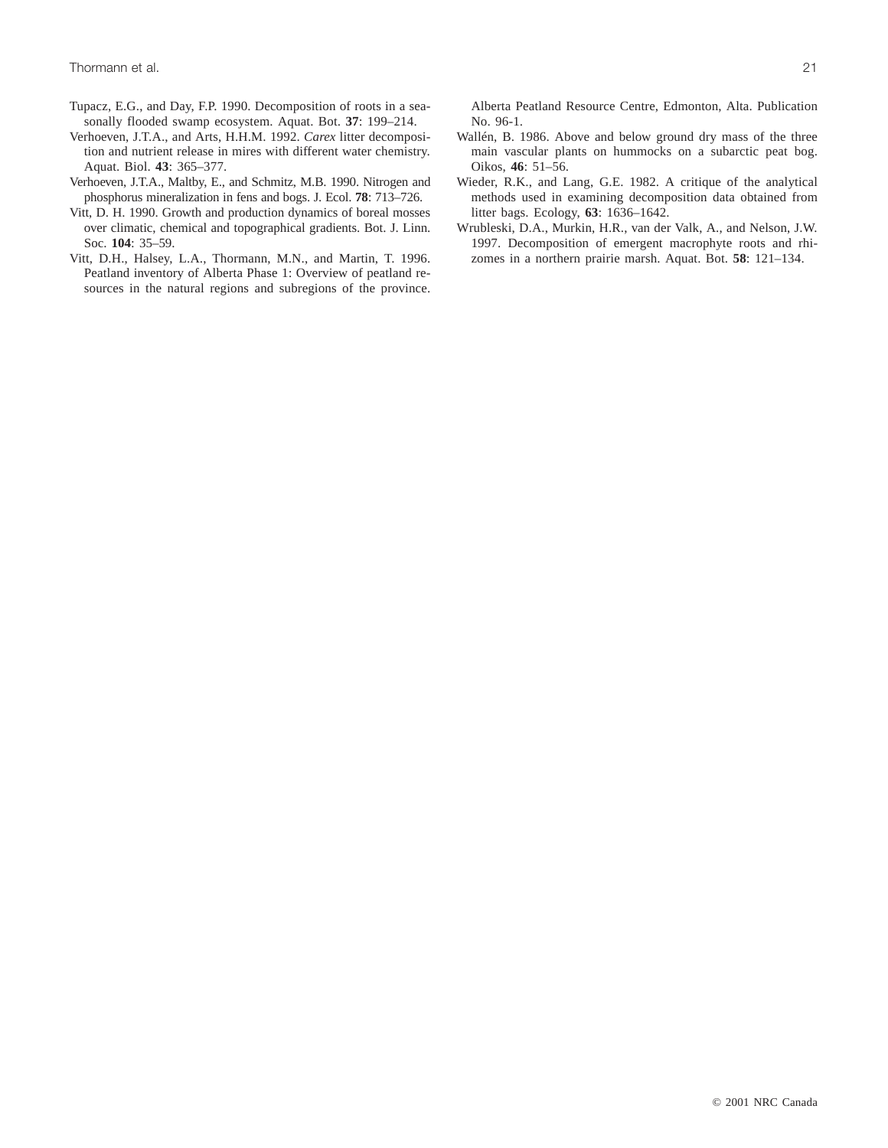- Tupacz, E.G., and Day, F.P. 1990. Decomposition of roots in a seasonally flooded swamp ecosystem. Aquat. Bot. **37**: 199–214.
- Verhoeven, J.T.A., and Arts, H.H.M. 1992. *Carex* litter decomposition and nutrient release in mires with different water chemistry. Aquat. Biol. **43**: 365–377.
- Verhoeven, J.T.A., Maltby, E., and Schmitz, M.B. 1990. Nitrogen and phosphorus mineralization in fens and bogs. J. Ecol. **78**: 713–726.
- Vitt, D. H. 1990. Growth and production dynamics of boreal mosses over climatic, chemical and topographical gradients. Bot. J. Linn. Soc. **104**: 35–59.
- Vitt, D.H., Halsey, L.A., Thormann, M.N., and Martin, T. 1996. Peatland inventory of Alberta Phase 1: Overview of peatland resources in the natural regions and subregions of the province.

Alberta Peatland Resource Centre, Edmonton, Alta. Publication No. 96-1.

- Wallén, B. 1986. Above and below ground dry mass of the three main vascular plants on hummocks on a subarctic peat bog. Oikos, **46**: 51–56.
- Wieder, R.K., and Lang, G.E. 1982. A critique of the analytical methods used in examining decomposition data obtained from litter bags. Ecology, **63**: 1636–1642.
- Wrubleski, D.A., Murkin, H.R., van der Valk, A., and Nelson, J.W. 1997. Decomposition of emergent macrophyte roots and rhizomes in a northern prairie marsh. Aquat. Bot. **58**: 121–134.